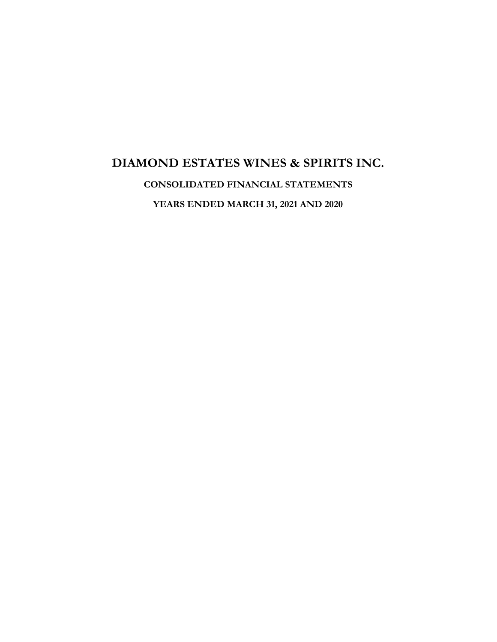# **DIAMOND ESTATES WINES & SPIRITS INC. CONSOLIDATED FINANCIAL STATEMENTS**

**YEARS ENDED MARCH 31, 2021 AND 2020**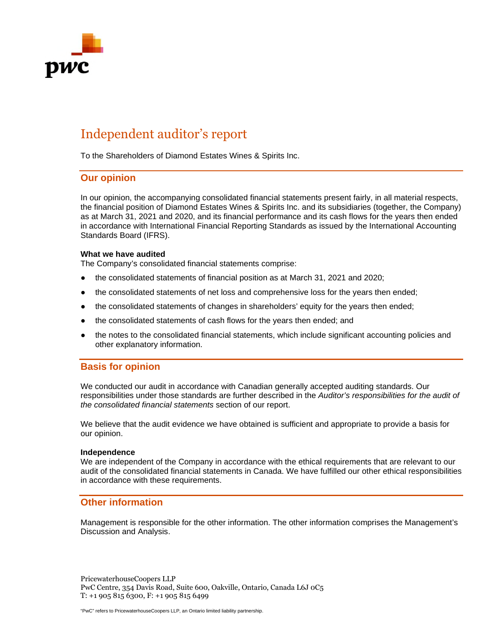

# Independent auditor's report

To the Shareholders of Diamond Estates Wines & Spirits Inc.

## **Our opinion**

In our opinion, the accompanying consolidated financial statements present fairly, in all material respects, the financial position of Diamond Estates Wines & Spirits Inc. and its subsidiaries (together, the Company) as at March 31, 2021 and 2020, and its financial performance and its cash flows for the years then ended in accordance with International Financial Reporting Standards as issued by the International Accounting Standards Board (IFRS).

### **What we have audited**

The Company's consolidated financial statements comprise:

- the consolidated statements of financial position as at March 31, 2021 and 2020;
- the consolidated statements of net loss and comprehensive loss for the years then ended;
- the consolidated statements of changes in shareholders' equity for the years then ended;
- the consolidated statements of cash flows for the years then ended; and
- the notes to the consolidated financial statements, which include significant accounting policies and other explanatory information.

## **Basis for opinion**

We conducted our audit in accordance with Canadian generally accepted auditing standards. Our responsibilities under those standards are further described in the *Auditor's responsibilities for the audit of the consolidated financial statements* section of our report.

We believe that the audit evidence we have obtained is sufficient and appropriate to provide a basis for our opinion.

### **Independence**

We are independent of the Company in accordance with the ethical requirements that are relevant to our audit of the consolidated financial statements in Canada. We have fulfilled our other ethical responsibilities in accordance with these requirements.

### **Other information**

Management is responsible for the other information. The other information comprises the Management's Discussion and Analysis.

PricewaterhouseCoopers LLP PwC Centre, 354 Davis Road, Suite 600, Oakville, Ontario, Canada L6J 0C5 T: +1 905 815 6300, F: +1 905 815 6499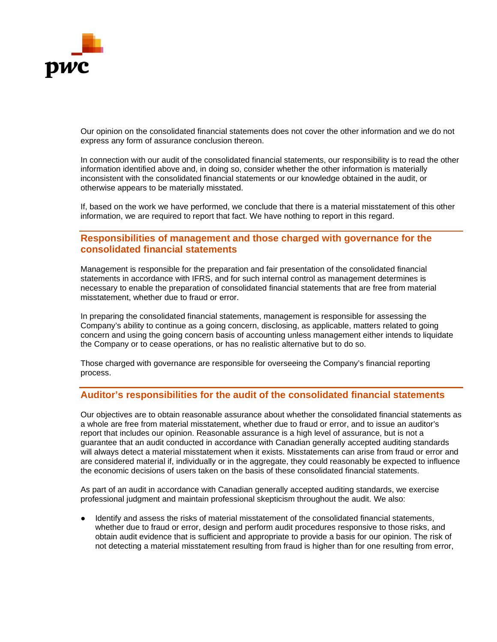

Our opinion on the consolidated financial statements does not cover the other information and we do not express any form of assurance conclusion thereon.

In connection with our audit of the consolidated financial statements, our responsibility is to read the other information identified above and, in doing so, consider whether the other information is materially inconsistent with the consolidated financial statements or our knowledge obtained in the audit, or otherwise appears to be materially misstated.

If, based on the work we have performed, we conclude that there is a material misstatement of this other information, we are required to report that fact. We have nothing to report in this regard.

### **Responsibilities of management and those charged with governance for the consolidated financial statements**

Management is responsible for the preparation and fair presentation of the consolidated financial statements in accordance with IFRS, and for such internal control as management determines is necessary to enable the preparation of consolidated financial statements that are free from material misstatement, whether due to fraud or error.

In preparing the consolidated financial statements, management is responsible for assessing the Company's ability to continue as a going concern, disclosing, as applicable, matters related to going concern and using the going concern basis of accounting unless management either intends to liquidate the Company or to cease operations, or has no realistic alternative but to do so.

Those charged with governance are responsible for overseeing the Company's financial reporting process.

### **Auditor's responsibilities for the audit of the consolidated financial statements**

Our objectives are to obtain reasonable assurance about whether the consolidated financial statements as a whole are free from material misstatement, whether due to fraud or error, and to issue an auditor's report that includes our opinion. Reasonable assurance is a high level of assurance, but is not a guarantee that an audit conducted in accordance with Canadian generally accepted auditing standards will always detect a material misstatement when it exists. Misstatements can arise from fraud or error and are considered material if, individually or in the aggregate, they could reasonably be expected to influence the economic decisions of users taken on the basis of these consolidated financial statements.

As part of an audit in accordance with Canadian generally accepted auditing standards, we exercise professional judgment and maintain professional skepticism throughout the audit. We also:

Identify and assess the risks of material misstatement of the consolidated financial statements, whether due to fraud or error, design and perform audit procedures responsive to those risks, and obtain audit evidence that is sufficient and appropriate to provide a basis for our opinion. The risk of not detecting a material misstatement resulting from fraud is higher than for one resulting from error,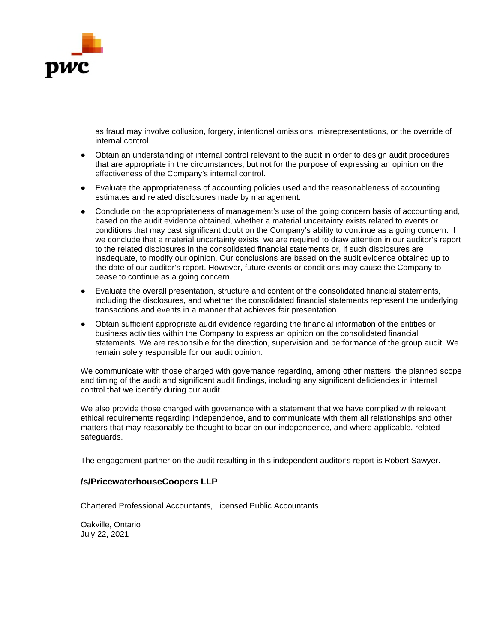

as fraud may involve collusion, forgery, intentional omissions, misrepresentations, or the override of internal control.

- Obtain an understanding of internal control relevant to the audit in order to design audit procedures that are appropriate in the circumstances, but not for the purpose of expressing an opinion on the effectiveness of the Company's internal control.
- Evaluate the appropriateness of accounting policies used and the reasonableness of accounting estimates and related disclosures made by management.
- Conclude on the appropriateness of management's use of the going concern basis of accounting and, based on the audit evidence obtained, whether a material uncertainty exists related to events or conditions that may cast significant doubt on the Company's ability to continue as a going concern. If we conclude that a material uncertainty exists, we are required to draw attention in our auditor's report to the related disclosures in the consolidated financial statements or, if such disclosures are inadequate, to modify our opinion. Our conclusions are based on the audit evidence obtained up to the date of our auditor's report. However, future events or conditions may cause the Company to cease to continue as a going concern.
- Evaluate the overall presentation, structure and content of the consolidated financial statements, including the disclosures, and whether the consolidated financial statements represent the underlying transactions and events in a manner that achieves fair presentation.
- Obtain sufficient appropriate audit evidence regarding the financial information of the entities or business activities within the Company to express an opinion on the consolidated financial statements. We are responsible for the direction, supervision and performance of the group audit. We remain solely responsible for our audit opinion.

We communicate with those charged with governance regarding, among other matters, the planned scope and timing of the audit and significant audit findings, including any significant deficiencies in internal control that we identify during our audit.

We also provide those charged with governance with a statement that we have complied with relevant ethical requirements regarding independence, and to communicate with them all relationships and other matters that may reasonably be thought to bear on our independence, and where applicable, related safeguards.

The engagement partner on the audit resulting in this independent auditor's report is Robert Sawyer.

### **/s/PricewaterhouseCoopers LLP**

Chartered Professional Accountants, Licensed Public Accountants

Oakville, Ontario July 22, 2021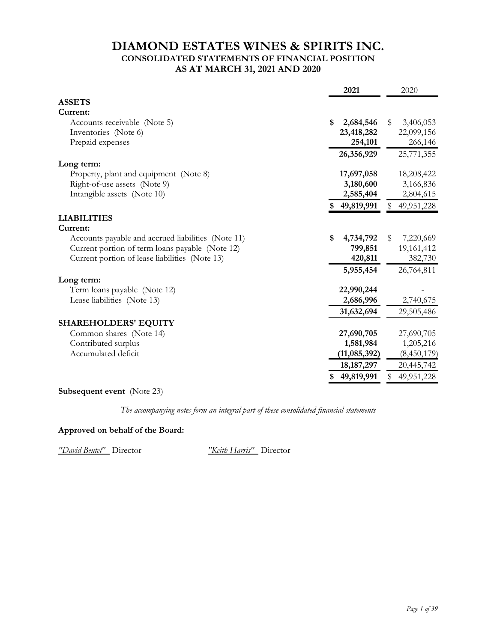## **DIAMOND ESTATES WINES & SPIRITS INC. CONSOLIDATED STATEMENTS OF FINANCIAL POSITION AS AT MARCH 31, 2021 AND 2020**

|                                                    | 2021            | 2020                         |
|----------------------------------------------------|-----------------|------------------------------|
| <b>ASSETS</b>                                      |                 |                              |
| Current:                                           |                 |                              |
| Accounts receivable (Note 5)                       | 2,684,546<br>\$ | 3,406,053<br>$\mathbb S$     |
| Inventories (Note 6)                               | 23,418,282      | 22,099,156                   |
| Prepaid expenses                                   | 254,101         | 266,146                      |
|                                                    | 26,356,929      | 25,771,355                   |
| Long term:                                         |                 |                              |
| Property, plant and equipment (Note 8)             | 17,697,058      | 18,208,422                   |
| Right-of-use assets (Note 9)                       | 3,180,600       | 3,166,836                    |
| Intangible assets (Note 10)                        | 2,585,404       | 2,804,615                    |
|                                                    | 49,819,991      | 49, 951, 228<br>$\mathbb{S}$ |
| <b>LIABILITIES</b>                                 |                 |                              |
| Current:                                           |                 |                              |
| Accounts payable and accrued liabilities (Note 11) | 4,734,792<br>\$ | 7,220,669<br>\$              |
| Current portion of term loans payable (Note 12)    | 799,851         | 19,161,412                   |
| Current portion of lease liabilities (Note 13)     | 420,811         | 382,730                      |
|                                                    | 5,955,454       | 26,764,811                   |
| Long term:                                         |                 |                              |
| Term loans payable (Note 12)                       | 22,990,244      |                              |
| Lease liabilities (Note 13)                        | 2,686,996       | 2,740,675                    |
|                                                    | 31,632,694      | 29,505,486                   |
| <b>SHAREHOLDERS' EQUITY</b>                        |                 |                              |
| Common shares (Note 14)                            | 27,690,705      | 27,690,705                   |
| Contributed surplus                                | 1,581,984       | 1,205,216                    |
| Accumulated deficit                                | (11, 085, 392)  | (8,450,179)                  |
|                                                    | 18, 187, 297    | 20,445,742                   |
|                                                    | 49,819,991      | 49,951,228<br>\$             |
|                                                    |                 |                              |

**Subsequent event** (Note 23)

*The accompanying notes form an integral part of these consolidated financial statements*

### **Approved on behalf of the Board:**

*"David Beutel"* Director *"Keith Harris"* Director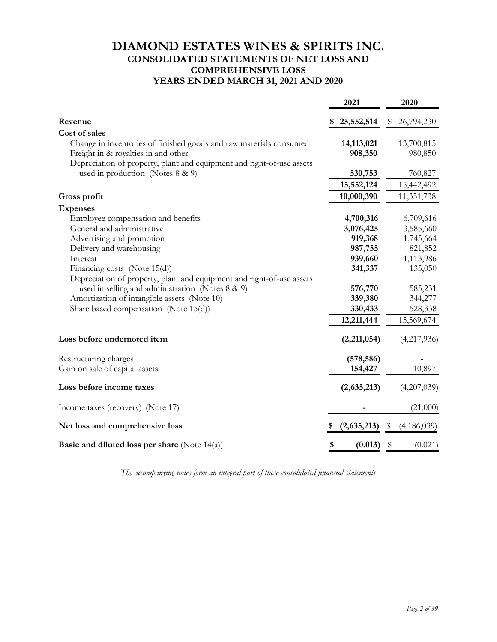## **DIAMOND ESTATES WINES & SPIRITS INC. CONSOLIDATED STATEMENTS OF NET LOSS AND COMPREHENSIVE LOSS YEARS ENDED MARCH 31, 2021 AND 2020**

|                                                                       | 2021          | 2020              |
|-----------------------------------------------------------------------|---------------|-------------------|
| Revenue                                                               | 25,552,514    | 26,794,230<br>\$  |
| Cost of sales                                                         |               |                   |
| Change in inventories of finished goods and raw materials consumed    | 14,113,021    | 13,700,815        |
| Freight in & royalties in and other                                   | 908,350       | 980,850           |
| Depreciation of property, plant and equipment and right-of-use assets |               |                   |
| used in production (Notes 8 & 9)                                      | 530,753       | 760,827           |
|                                                                       | 15,552,124    | 15,442,492        |
| Gross profit                                                          | 10,000,390    | 11,351,738        |
| <b>Expenses</b>                                                       |               |                   |
| Employee compensation and benefits                                    | 4,700,316     | 6,709,616         |
| General and administrative                                            | 3,076,425     | 3,585,660         |
| Advertising and promotion                                             | 919,368       | 1,745,664         |
| Delivery and warehousing                                              | 987,755       | 821,852           |
| Interest                                                              | 939,660       | 1,113,986         |
| Financing costs (Note 15(d))                                          | 341,337       | 135,050           |
| Depreciation of property, plant and equipment and right-of-use assets |               |                   |
| used in selling and administration (Notes 8 & 9)                      | 576,770       | 585,231           |
| Amortization of intangible assets (Note 10)                           | 339,380       | 344,277           |
| Share based compensation (Note 15(d))                                 | 330,433       | 528,338           |
|                                                                       | 12,211,444    | 15,569,674        |
| Loss before undernoted item                                           | (2,211,054)   | (4,217,936)       |
| Restructuring charges                                                 | (578, 586)    |                   |
| Gain on sale of capital assets                                        | 154,427       | 10,897            |
| Loss before income taxes                                              | (2,635,213)   | (4,207,039)       |
| Income taxes (recovery) (Note 17)                                     |               | (21,000)          |
| Net loss and comprehensive loss                                       | (2,635,213)   | (4,186,039)<br>\$ |
| Basic and diluted loss per share (Note $14(a)$ )                      | (0.013)<br>\$ | (0.021)<br>\$     |

*The accompanying notes form an integral part of these consolidated financial statements*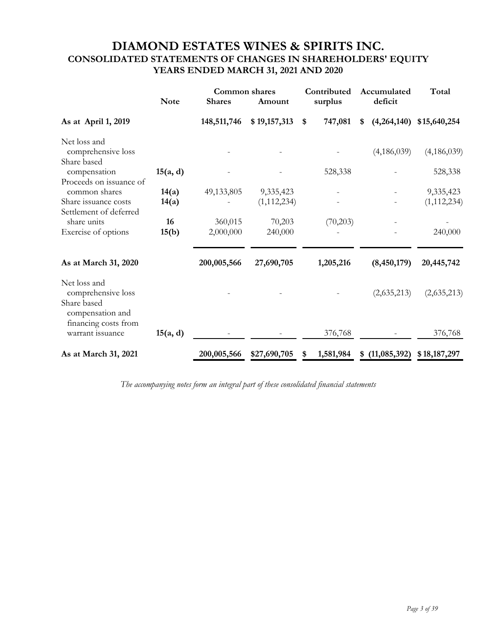## **DIAMOND ESTATES WINES & SPIRITS INC. CONSOLIDATED STATEMENTS OF CHANGES IN SHAREHOLDERS' EQUITY YEARS ENDED MARCH 31, 2021 AND 2020**

|                                                         | <b>Note</b> | Common shares<br><b>Shares</b> | Amount        | Contributed<br>surplus | Accumulated<br>deficit | Total                      |  |
|---------------------------------------------------------|-------------|--------------------------------|---------------|------------------------|------------------------|----------------------------|--|
| As at April 1, 2019                                     |             | 148,511,746                    | \$19,157,313  | 747,081<br>\$          | \$                     | $(4,264,140)$ \$15,640,254 |  |
| Net loss and<br>comprehensive loss                      |             |                                |               |                        | (4,186,039)            | (4,186,039)                |  |
| Share based<br>compensation                             | 15(a, d)    |                                |               | 528,338                |                        | 528,338                    |  |
| Proceeds on issuance of<br>common shares                | 14(a)       | 49,133,805                     | 9,335,423     |                        |                        | 9,335,423                  |  |
| Share issuance costs                                    | 14(a)       |                                | (1, 112, 234) |                        |                        | (1, 112, 234)              |  |
| Settlement of deferred                                  |             |                                |               |                        |                        |                            |  |
| share units                                             | 16          | 360,015                        | 70,203        | (70,203)               |                        |                            |  |
| Exercise of options                                     | 15(b)       | 2,000,000                      | 240,000       |                        |                        | 240,000                    |  |
| As at March 31, 2020                                    |             | 200,005,566                    | 27,690,705    | 1,205,216              | (8,450,179)            | 20,445,742                 |  |
| Net loss and<br>comprehensive loss                      |             |                                |               |                        | (2,635,213)            | (2,635,213)                |  |
| Share based<br>compensation and<br>financing costs from |             |                                |               |                        |                        |                            |  |
| warrant issuance                                        | 15(a, d)    |                                |               | 376,768                |                        | 376,768                    |  |
| As at March 31, 2021                                    |             | 200,005,566                    | \$27,690,705  | 1,581,984<br>S         | \$ (11,085,392)        | \$18,187,297               |  |

*The accompanying notes form an integral part of these consolidated financial statements*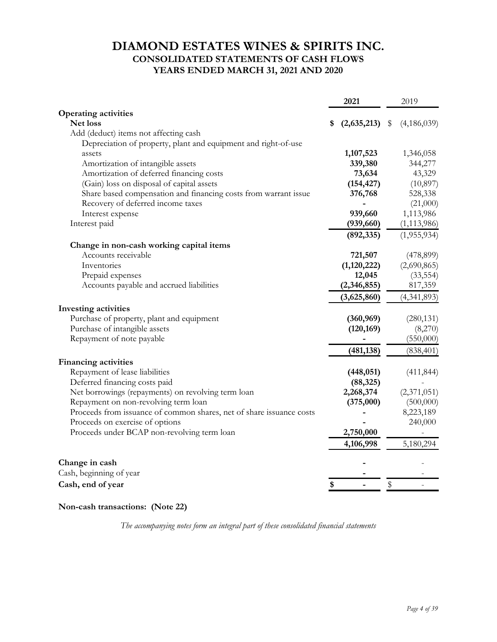## **DIAMOND ESTATES WINES & SPIRITS INC. CONSOLIDATED STATEMENTS OF CASH FLOWS YEARS ENDED MARCH 31, 2021 AND 2020**

| 2021                                                                       |  |    |               |  |  |
|----------------------------------------------------------------------------|--|----|---------------|--|--|
| <b>Operating activities</b>                                                |  |    |               |  |  |
| Net loss<br>$(2,635,213)$ \$<br>\$                                         |  |    | (4,186,039)   |  |  |
| Add (deduct) items not affecting cash                                      |  |    |               |  |  |
| Depreciation of property, plant and equipment and right-of-use             |  |    |               |  |  |
| assets<br>1,107,523                                                        |  |    | 1,346,058     |  |  |
| 339,380<br>Amortization of intangible assets                               |  |    | 344,277       |  |  |
| Amortization of deferred financing costs<br>73,634                         |  |    | 43,329        |  |  |
| (Gain) loss on disposal of capital assets<br>(154, 427)                    |  |    | (10, 897)     |  |  |
| Share based compensation and financing costs from warrant issue<br>376,768 |  |    | 528,338       |  |  |
| Recovery of deferred income taxes                                          |  |    | (21,000)      |  |  |
| 939,660<br>Interest expense                                                |  |    | 1,113,986     |  |  |
| Interest paid<br>(939, 660)                                                |  |    | (1, 113, 986) |  |  |
| (892, 335)                                                                 |  |    | (1,955,934)   |  |  |
| Change in non-cash working capital items                                   |  |    |               |  |  |
| Accounts receivable<br>721,507                                             |  |    | (478, 899)    |  |  |
| Inventories<br>(1,120,222)                                                 |  |    | (2,690,865)   |  |  |
| 12,045<br>Prepaid expenses                                                 |  |    | (33, 554)     |  |  |
| Accounts payable and accrued liabilities<br>(2,346,855)                    |  |    | 817,359       |  |  |
| (3,625,860)                                                                |  |    | (4,341,893)   |  |  |
| <b>Investing activities</b>                                                |  |    |               |  |  |
| (360, 969)<br>Purchase of property, plant and equipment                    |  |    | (280, 131)    |  |  |
| Purchase of intangible assets<br>(120, 169)                                |  |    | (8,270)       |  |  |
| Repayment of note payable                                                  |  |    | (550,000)     |  |  |
| (481, 138)                                                                 |  |    | (838, 401)    |  |  |
| <b>Financing activities</b>                                                |  |    |               |  |  |
| Repayment of lease liabilities<br>(448, 051)                               |  |    | (411, 844)    |  |  |
| Deferred financing costs paid<br>(88, 325)                                 |  |    |               |  |  |
| Net borrowings (repayments) on revolving term loan<br>2,268,374            |  |    | (2,371,051)   |  |  |
| (375,000)<br>Repayment on non-revolving term loan                          |  |    | (500,000)     |  |  |
| Proceeds from issuance of common shares, net of share issuance costs       |  |    | 8,223,189     |  |  |
| Proceeds on exercise of options                                            |  |    | 240,000       |  |  |
| Proceeds under BCAP non-revolving term loan<br>2,750,000                   |  |    |               |  |  |
| 4,106,998                                                                  |  |    | 5,180,294     |  |  |
| Change in cash                                                             |  |    |               |  |  |
| Cash, beginning of year                                                    |  |    |               |  |  |
| Cash, end of year<br>\$                                                    |  | \$ |               |  |  |

## **Non-cash transactions: (Note 22)**

*The accompanying notes form an integral part of these consolidated financial statements*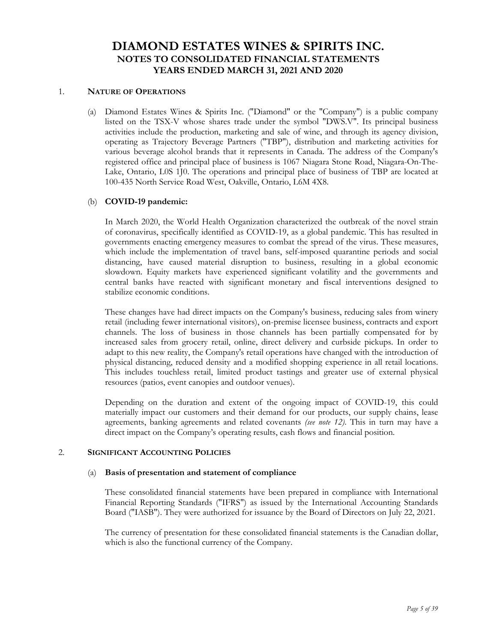### 1. **NATURE OF OPERATIONS**

(a) Diamond Estates Wines & Spirits Inc. ("Diamond" or the "Company") is a public company listed on the TSX-V whose shares trade under the symbol "DWS.V". Its principal business activities include the production, marketing and sale of wine, and through its agency division, operating as Trajectory Beverage Partners ("TBP"), distribution and marketing activities for various beverage alcohol brands that it represents in Canada. The address of the Company's registered office and principal place of business is 1067 Niagara Stone Road, Niagara-On-The-Lake, Ontario, L0S 1J0. The operations and principal place of business of TBP are located at 100-435 North Service Road West, Oakville, Ontario, L6M 4X8.

### (b) **COVID-19 pandemic:**

In March 2020, the World Health Organization characterized the outbreak of the novel strain of coronavirus, specifically identified as COVID-19, as a global pandemic. This has resulted in governments enacting emergency measures to combat the spread of the virus. These measures, which include the implementation of travel bans, self-imposed quarantine periods and social distancing, have caused material disruption to business, resulting in a global economic slowdown. Equity markets have experienced significant volatility and the governments and central banks have reacted with significant monetary and fiscal interventions designed to stabilize economic conditions.

These changes have had direct impacts on the Company's business, reducing sales from winery retail (including fewer international visitors), on-premise licensee business, contracts and export channels. The loss of business in those channels has been partially compensated for by increased sales from grocery retail, online, direct delivery and curbside pickups. In order to adapt to this new reality, the Company's retail operations have changed with the introduction of physical distancing, reduced density and a modified shopping experience in all retail locations. This includes touchless retail, limited product tastings and greater use of external physical resources (patios, event canopies and outdoor venues).

Depending on the duration and extent of the ongoing impact of COVID-19, this could materially impact our customers and their demand for our products, our supply chains, lease agreements, banking agreements and related covenants *(see note 12)*. This in turn may have a direct impact on the Company's operating results, cash flows and financial position.

### 2. **SIGNIFICANT ACCOUNTING POLICIES**

### (a) **Basis of presentation and statement of compliance**

These consolidated financial statements have been prepared in compliance with International Financial Reporting Standards ("IFRS") as issued by the International Accounting Standards Board ("IASB"). They were authorized for issuance by the Board of Directors on July 22, 2021.

The currency of presentation for these consolidated financial statements is the Canadian dollar, which is also the functional currency of the Company.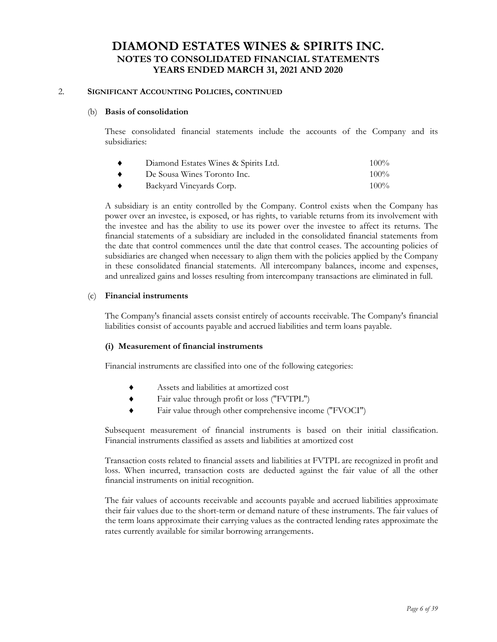### 2. **SIGNIFICANT ACCOUNTING POLICIES, CONTINUED**

### (b) **Basis of consolidation**

These consolidated financial statements include the accounts of the Company and its subsidiaries:

| $\bullet$ | Diamond Estates Wines & Spirits Ltd. | $100\%$ |
|-----------|--------------------------------------|---------|
| ٠         | De Sousa Wines Toronto Inc.          | $100\%$ |
|           | Backyard Vineyards Corp.             | $100\%$ |

A subsidiary is an entity controlled by the Company. Control exists when the Company has power over an investee, is exposed, or has rights, to variable returns from its involvement with the investee and has the ability to use its power over the investee to affect its returns. The financial statements of a subsidiary are included in the consolidated financial statements from the date that control commences until the date that control ceases. The accounting policies of subsidiaries are changed when necessary to align them with the policies applied by the Company in these consolidated financial statements. All intercompany balances, income and expenses, and unrealized gains and losses resulting from intercompany transactions are eliminated in full.

### (c) **Financial instruments**

The Company's financial assets consist entirely of accounts receivable. The Company's financial liabilities consist of accounts payable and accrued liabilities and term loans payable.

### **(i) Measurement of financial instruments**

Financial instruments are classified into one of the following categories:

- Assets and liabilities at amortized cost
- Fair value through profit or loss ("FVTPL")
- Fair value through other comprehensive income ("FVOCI")

Subsequent measurement of financial instruments is based on their initial classification. Financial instruments classified as assets and liabilities at amortized cost

Transaction costs related to financial assets and liabilities at FVTPL are recognized in profit and loss. When incurred, transaction costs are deducted against the fair value of all the other financial instruments on initial recognition.

The fair values of accounts receivable and accounts payable and accrued liabilities approximate their fair values due to the short-term or demand nature of these instruments. The fair values of the term loans approximate their carrying values as the contracted lending rates approximate the rates currently available for similar borrowing arrangements.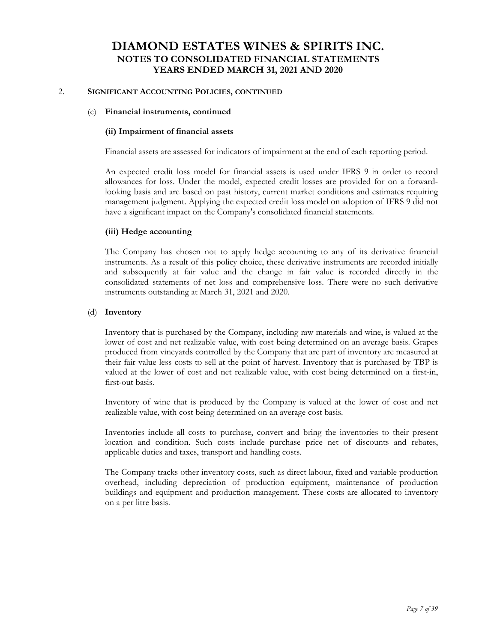### 2. **SIGNIFICANT ACCOUNTING POLICIES, CONTINUED**

### (c) **Financial instruments, continued**

### **(ii) Impairment of financial assets**

Financial assets are assessed for indicators of impairment at the end of each reporting period.

An expected credit loss model for financial assets is used under IFRS 9 in order to record allowances for loss. Under the model, expected credit losses are provided for on a forwardlooking basis and are based on past history, current market conditions and estimates requiring management judgment. Applying the expected credit loss model on adoption of IFRS 9 did not have a significant impact on the Company's consolidated financial statements.

### **(iii) Hedge accounting**

The Company has chosen not to apply hedge accounting to any of its derivative financial instruments. As a result of this policy choice, these derivative instruments are recorded initially and subsequently at fair value and the change in fair value is recorded directly in the consolidated statements of net loss and comprehensive loss. There were no such derivative instruments outstanding at March 31, 2021 and 2020.

### (d) **Inventory**

Inventory that is purchased by the Company, including raw materials and wine, is valued at the lower of cost and net realizable value, with cost being determined on an average basis. Grapes produced from vineyards controlled by the Company that are part of inventory are measured at their fair value less costs to sell at the point of harvest. Inventory that is purchased by TBP is valued at the lower of cost and net realizable value, with cost being determined on a first-in, first-out basis.

Inventory of wine that is produced by the Company is valued at the lower of cost and net realizable value, with cost being determined on an average cost basis.

Inventories include all costs to purchase, convert and bring the inventories to their present location and condition. Such costs include purchase price net of discounts and rebates, applicable duties and taxes, transport and handling costs.

The Company tracks other inventory costs, such as direct labour, fixed and variable production overhead, including depreciation of production equipment, maintenance of production buildings and equipment and production management. These costs are allocated to inventory on a per litre basis.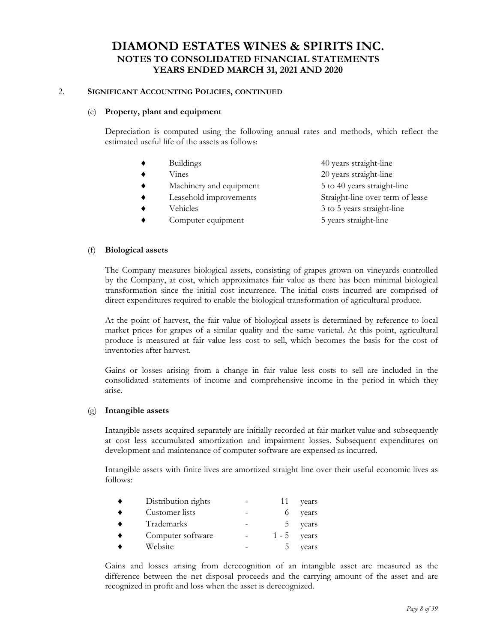### 2. **SIGNIFICANT ACCOUNTING POLICIES, CONTINUED**

### (e) **Property, plant and equipment**

Depreciation is computed using the following annual rates and methods, which reflect the estimated useful life of the assets as follows:

- 
- 
- Machinery and equipment 5 to 40 years straight-line
- Leasehold improvements Straight-line over term of lease
- ◆ Vehicles 3 to 5 years straight-line
- Computer equipment 5 years straight-line

Buildings 40 years straight-line

- Vines 20 years straight-line
	-
	-
	-
	-

### (f) **Biological assets**

The Company measures biological assets, consisting of grapes grown on vineyards controlled by the Company, at cost, which approximates fair value as there has been minimal biological transformation since the initial cost incurrence. The initial costs incurred are comprised of direct expenditures required to enable the biological transformation of agricultural produce.

At the point of harvest, the fair value of biological assets is determined by reference to local market prices for grapes of a similar quality and the same varietal. At this point, agricultural produce is measured at fair value less cost to sell, which becomes the basis for the cost of inventories after harvest.

Gains or losses arising from a change in fair value less costs to sell are included in the consolidated statements of income and comprehensive income in the period in which they arise.

### (g) **Intangible assets**

Intangible assets acquired separately are initially recorded at fair market value and subsequently at cost less accumulated amortization and impairment losses. Subsequent expenditures on development and maintenance of computer software are expensed as incurred.

Intangible assets with finite lives are amortized straight line over their useful economic lives as follows:

| Distribution rights | 11      | years |
|---------------------|---------|-------|
| Customer lists      |         | years |
| Trademarks          |         | years |
| Computer software   | $1 - 5$ | years |
| Website             | b.      | vears |

Gains and losses arising from derecognition of an intangible asset are measured as the difference between the net disposal proceeds and the carrying amount of the asset and are recognized in profit and loss when the asset is derecognized.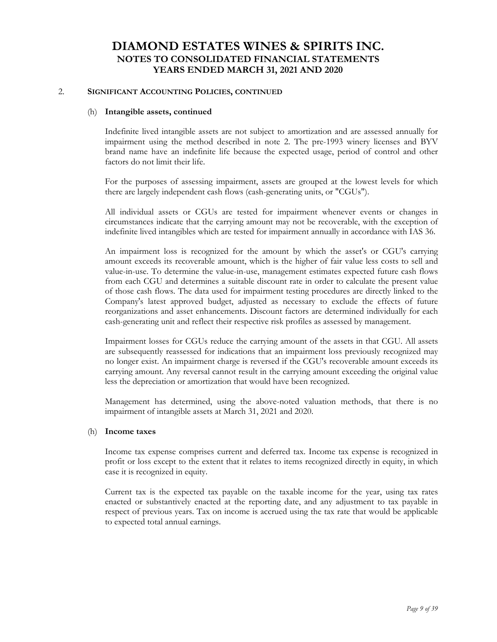### 2. **SIGNIFICANT ACCOUNTING POLICIES, CONTINUED**

### (h) **Intangible assets, continued**

Indefinite lived intangible assets are not subject to amortization and are assessed annually for impairment using the method described in note 2. The pre-1993 winery licenses and BYV brand name have an indefinite life because the expected usage, period of control and other factors do not limit their life.

For the purposes of assessing impairment, assets are grouped at the lowest levels for which there are largely independent cash flows (cash-generating units, or "CGUs").

All individual assets or CGUs are tested for impairment whenever events or changes in circumstances indicate that the carrying amount may not be recoverable, with the exception of indefinite lived intangibles which are tested for impairment annually in accordance with IAS 36.

An impairment loss is recognized for the amount by which the asset's or CGU's carrying amount exceeds its recoverable amount, which is the higher of fair value less costs to sell and value-in-use. To determine the value-in-use, management estimates expected future cash flows from each CGU and determines a suitable discount rate in order to calculate the present value of those cash flows. The data used for impairment testing procedures are directly linked to the Company's latest approved budget, adjusted as necessary to exclude the effects of future reorganizations and asset enhancements. Discount factors are determined individually for each cash-generating unit and reflect their respective risk profiles as assessed by management.

Impairment losses for CGUs reduce the carrying amount of the assets in that CGU. All assets are subsequently reassessed for indications that an impairment loss previously recognized may no longer exist. An impairment charge is reversed if the CGU's recoverable amount exceeds its carrying amount. Any reversal cannot result in the carrying amount exceeding the original value less the depreciation or amortization that would have been recognized.

Management has determined, using the above-noted valuation methods, that there is no impairment of intangible assets at March 31, 2021 and 2020.

### (h) **Income taxes**

Income tax expense comprises current and deferred tax. Income tax expense is recognized in profit or loss except to the extent that it relates to items recognized directly in equity, in which case it is recognized in equity.

Current tax is the expected tax payable on the taxable income for the year, using tax rates enacted or substantively enacted at the reporting date, and any adjustment to tax payable in respect of previous years. Tax on income is accrued using the tax rate that would be applicable to expected total annual earnings.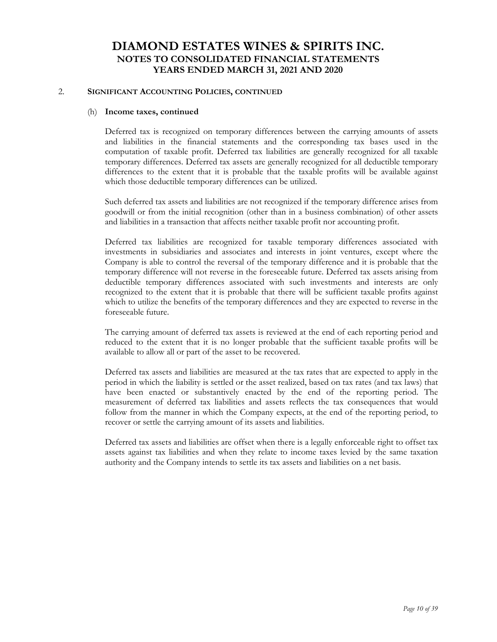### 2. **SIGNIFICANT ACCOUNTING POLICIES, CONTINUED**

#### (h) **Income taxes, continued**

Deferred tax is recognized on temporary differences between the carrying amounts of assets and liabilities in the financial statements and the corresponding tax bases used in the computation of taxable profit. Deferred tax liabilities are generally recognized for all taxable temporary differences. Deferred tax assets are generally recognized for all deductible temporary differences to the extent that it is probable that the taxable profits will be available against which those deductible temporary differences can be utilized.

Such deferred tax assets and liabilities are not recognized if the temporary difference arises from goodwill or from the initial recognition (other than in a business combination) of other assets and liabilities in a transaction that affects neither taxable profit nor accounting profit.

Deferred tax liabilities are recognized for taxable temporary differences associated with investments in subsidiaries and associates and interests in joint ventures, except where the Company is able to control the reversal of the temporary difference and it is probable that the temporary difference will not reverse in the foreseeable future. Deferred tax assets arising from deductible temporary differences associated with such investments and interests are only recognized to the extent that it is probable that there will be sufficient taxable profits against which to utilize the benefits of the temporary differences and they are expected to reverse in the foreseeable future.

The carrying amount of deferred tax assets is reviewed at the end of each reporting period and reduced to the extent that it is no longer probable that the sufficient taxable profits will be available to allow all or part of the asset to be recovered.

Deferred tax assets and liabilities are measured at the tax rates that are expected to apply in the period in which the liability is settled or the asset realized, based on tax rates (and tax laws) that have been enacted or substantively enacted by the end of the reporting period. The measurement of deferred tax liabilities and assets reflects the tax consequences that would follow from the manner in which the Company expects, at the end of the reporting period, to recover or settle the carrying amount of its assets and liabilities.

Deferred tax assets and liabilities are offset when there is a legally enforceable right to offset tax assets against tax liabilities and when they relate to income taxes levied by the same taxation authority and the Company intends to settle its tax assets and liabilities on a net basis.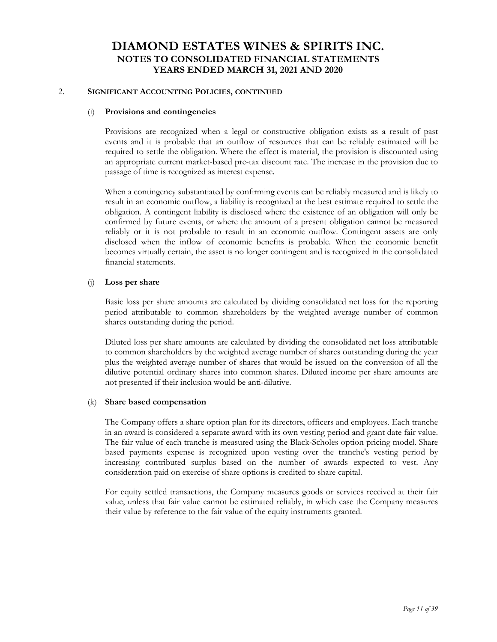### 2. **SIGNIFICANT ACCOUNTING POLICIES, CONTINUED**

#### (i) **Provisions and contingencies**

Provisions are recognized when a legal or constructive obligation exists as a result of past events and it is probable that an outflow of resources that can be reliably estimated will be required to settle the obligation. Where the effect is material, the provision is discounted using an appropriate current market-based pre-tax discount rate. The increase in the provision due to passage of time is recognized as interest expense.

When a contingency substantiated by confirming events can be reliably measured and is likely to result in an economic outflow, a liability is recognized at the best estimate required to settle the obligation. A contingent liability is disclosed where the existence of an obligation will only be confirmed by future events, or where the amount of a present obligation cannot be measured reliably or it is not probable to result in an economic outflow. Contingent assets are only disclosed when the inflow of economic benefits is probable. When the economic benefit becomes virtually certain, the asset is no longer contingent and is recognized in the consolidated financial statements.

### (j) **Loss per share**

Basic loss per share amounts are calculated by dividing consolidated net loss for the reporting period attributable to common shareholders by the weighted average number of common shares outstanding during the period.

Diluted loss per share amounts are calculated by dividing the consolidated net loss attributable to common shareholders by the weighted average number of shares outstanding during the year plus the weighted average number of shares that would be issued on the conversion of all the dilutive potential ordinary shares into common shares. Diluted income per share amounts are not presented if their inclusion would be anti-dilutive.

### (k) **Share based compensation**

The Company offers a share option plan for its directors, officers and employees. Each tranche in an award is considered a separate award with its own vesting period and grant date fair value. The fair value of each tranche is measured using the Black-Scholes option pricing model. Share based payments expense is recognized upon vesting over the tranche's vesting period by increasing contributed surplus based on the number of awards expected to vest. Any consideration paid on exercise of share options is credited to share capital.

For equity settled transactions, the Company measures goods or services received at their fair value, unless that fair value cannot be estimated reliably, in which case the Company measures their value by reference to the fair value of the equity instruments granted.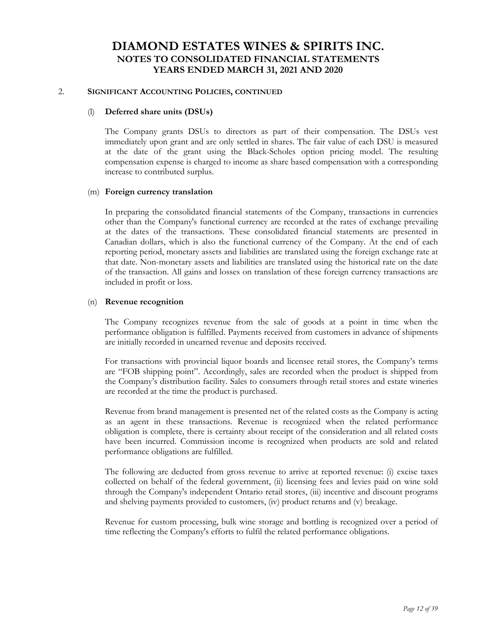### 2. **SIGNIFICANT ACCOUNTING POLICIES, CONTINUED**

#### (l) **Deferred share units (DSUs)**

The Company grants DSUs to directors as part of their compensation. The DSUs vest immediately upon grant and are only settled in shares. The fair value of each DSU is measured at the date of the grant using the Black-Scholes option pricing model. The resulting compensation expense is charged to income as share based compensation with a corresponding increase to contributed surplus.

#### (m) **Foreign currency translation**

In preparing the consolidated financial statements of the Company, transactions in currencies other than the Company's functional currency are recorded at the rates of exchange prevailing at the dates of the transactions. These consolidated financial statements are presented in Canadian dollars, which is also the functional currency of the Company. At the end of each reporting period, monetary assets and liabilities are translated using the foreign exchange rate at that date. Non-monetary assets and liabilities are translated using the historical rate on the date of the transaction. All gains and losses on translation of these foreign currency transactions are included in profit or loss.

#### (n) **Revenue recognition**

The Company recognizes revenue from the sale of goods at a point in time when the performance obligation is fulfilled. Payments received from customers in advance of shipments are initially recorded in unearned revenue and deposits received.

For transactions with provincial liquor boards and licensee retail stores, the Company's terms are "FOB shipping point". Accordingly, sales are recorded when the product is shipped from the Company's distribution facility. Sales to consumers through retail stores and estate wineries are recorded at the time the product is purchased.

Revenue from brand management is presented net of the related costs as the Company is acting as an agent in these transactions. Revenue is recognized when the related performance obligation is complete, there is certainty about receipt of the consideration and all related costs have been incurred. Commission income is recognized when products are sold and related performance obligations are fulfilled.

The following are deducted from gross revenue to arrive at reported revenue: (i) excise taxes collected on behalf of the federal government, (ii) licensing fees and levies paid on wine sold through the Company's independent Ontario retail stores, (iii) incentive and discount programs and shelving payments provided to customers, (iv) product returns and (v) breakage.

Revenue for custom processing, bulk wine storage and bottling is recognized over a period of time reflecting the Company's efforts to fulfil the related performance obligations.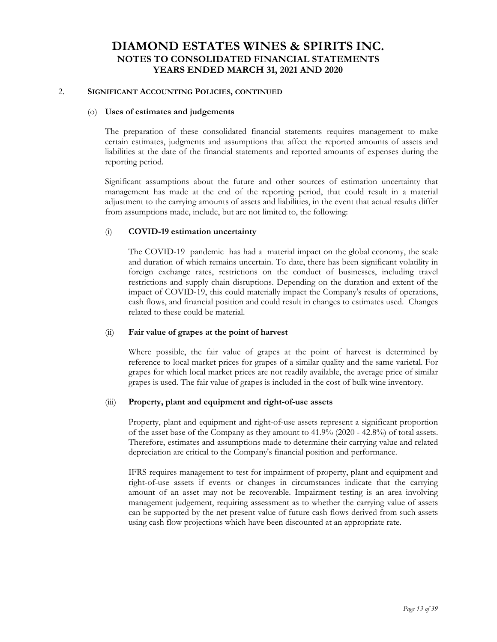### 2. **SIGNIFICANT ACCOUNTING POLICIES, CONTINUED**

### (o) **Uses of estimates and judgements**

The preparation of these consolidated financial statements requires management to make certain estimates, judgments and assumptions that affect the reported amounts of assets and liabilities at the date of the financial statements and reported amounts of expenses during the reporting period.

Significant assumptions about the future and other sources of estimation uncertainty that management has made at the end of the reporting period, that could result in a material adjustment to the carrying amounts of assets and liabilities, in the event that actual results differ from assumptions made, include, but are not limited to, the following:

### (i) **COVID-19 estimation uncertainty**

The COVID-19 pandemic has had a material impact on the global economy, the scale and duration of which remains uncertain. To date, there has been significant volatility in foreign exchange rates, restrictions on the conduct of businesses, including travel restrictions and supply chain disruptions. Depending on the duration and extent of the impact of COVID-19, this could materially impact the Company's results of operations, cash flows, and financial position and could result in changes to estimates used. Changes related to these could be material.

### (ii) **Fair value of grapes at the point of harvest**

Where possible, the fair value of grapes at the point of harvest is determined by reference to local market prices for grapes of a similar quality and the same varietal. For grapes for which local market prices are not readily available, the average price of similar grapes is used. The fair value of grapes is included in the cost of bulk wine inventory.

### (iii) **Property, plant and equipment and right-of-use assets**

Property, plant and equipment and right-of-use assets represent a significant proportion of the asset base of the Company as they amount to 41.9% (2020 - 42.8%) of total assets. Therefore, estimates and assumptions made to determine their carrying value and related depreciation are critical to the Company's financial position and performance.

IFRS requires management to test for impairment of property, plant and equipment and right-of-use assets if events or changes in circumstances indicate that the carrying amount of an asset may not be recoverable. Impairment testing is an area involving management judgement, requiring assessment as to whether the carrying value of assets can be supported by the net present value of future cash flows derived from such assets using cash flow projections which have been discounted at an appropriate rate.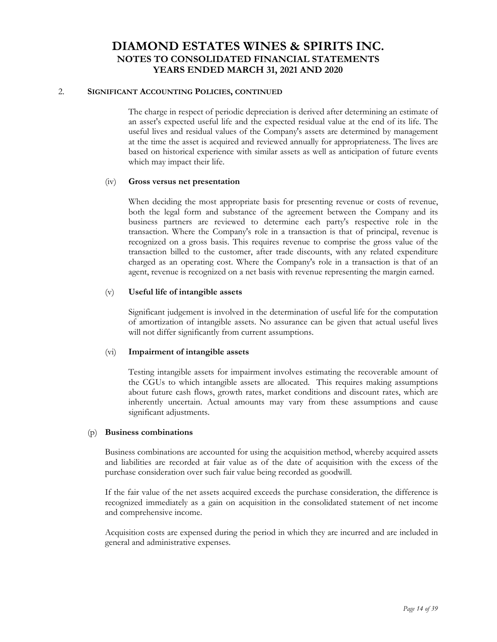### 2. **SIGNIFICANT ACCOUNTING POLICIES, CONTINUED**

The charge in respect of periodic depreciation is derived after determining an estimate of an asset's expected useful life and the expected residual value at the end of its life. The useful lives and residual values of the Company's assets are determined by management at the time the asset is acquired and reviewed annually for appropriateness. The lives are based on historical experience with similar assets as well as anticipation of future events which may impact their life.

### (iv) **Gross versus net presentation**

When deciding the most appropriate basis for presenting revenue or costs of revenue, both the legal form and substance of the agreement between the Company and its business partners are reviewed to determine each party's respective role in the transaction. Where the Company's role in a transaction is that of principal, revenue is recognized on a gross basis. This requires revenue to comprise the gross value of the transaction billed to the customer, after trade discounts, with any related expenditure charged as an operating cost. Where the Company's role in a transaction is that of an agent, revenue is recognized on a net basis with revenue representing the margin earned.

### (v) **Useful life of intangible assets**

Significant judgement is involved in the determination of useful life for the computation of amortization of intangible assets. No assurance can be given that actual useful lives will not differ significantly from current assumptions.

### (vi) **Impairment of intangible assets**

Testing intangible assets for impairment involves estimating the recoverable amount of the CGUs to which intangible assets are allocated. This requires making assumptions about future cash flows, growth rates, market conditions and discount rates, which are inherently uncertain. Actual amounts may vary from these assumptions and cause significant adjustments.

### (p) **Business combinations**

Business combinations are accounted for using the acquisition method, whereby acquired assets and liabilities are recorded at fair value as of the date of acquisition with the excess of the purchase consideration over such fair value being recorded as goodwill.

If the fair value of the net assets acquired exceeds the purchase consideration, the difference is recognized immediately as a gain on acquisition in the consolidated statement of net income and comprehensive income.

Acquisition costs are expensed during the period in which they are incurred and are included in general and administrative expenses.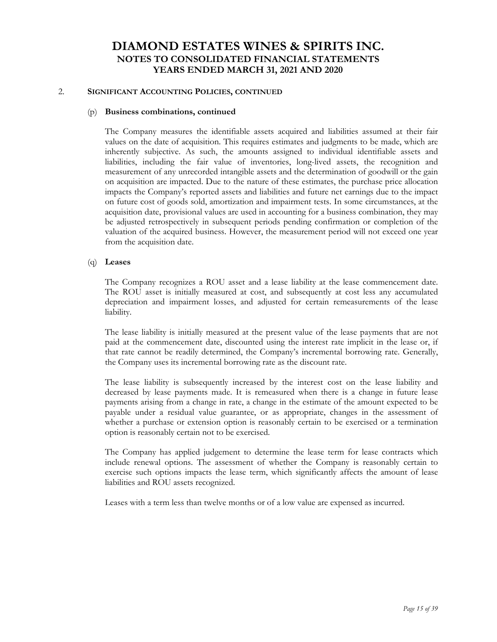### 2. **SIGNIFICANT ACCOUNTING POLICIES, CONTINUED**

#### (p) **Business combinations, continued**

The Company measures the identifiable assets acquired and liabilities assumed at their fair values on the date of acquisition. This requires estimates and judgments to be made, which are inherently subjective. As such, the amounts assigned to individual identifiable assets and liabilities, including the fair value of inventories, long-lived assets, the recognition and measurement of any unrecorded intangible assets and the determination of goodwill or the gain on acquisition are impacted. Due to the nature of these estimates, the purchase price allocation impacts the Company's reported assets and liabilities and future net earnings due to the impact on future cost of goods sold, amortization and impairment tests. In some circumstances, at the acquisition date, provisional values are used in accounting for a business combination, they may be adjusted retrospectively in subsequent periods pending confirmation or completion of the valuation of the acquired business. However, the measurement period will not exceed one year from the acquisition date.

#### (q) **Leases**

The Company recognizes a ROU asset and a lease liability at the lease commencement date. The ROU asset is initially measured at cost, and subsequently at cost less any accumulated depreciation and impairment losses, and adjusted for certain remeasurements of the lease liability.

The lease liability is initially measured at the present value of the lease payments that are not paid at the commencement date, discounted using the interest rate implicit in the lease or, if that rate cannot be readily determined, the Company's incremental borrowing rate. Generally, the Company uses its incremental borrowing rate as the discount rate.

The lease liability is subsequently increased by the interest cost on the lease liability and decreased by lease payments made. It is remeasured when there is a change in future lease payments arising from a change in rate, a change in the estimate of the amount expected to be payable under a residual value guarantee, or as appropriate, changes in the assessment of whether a purchase or extension option is reasonably certain to be exercised or a termination option is reasonably certain not to be exercised.

The Company has applied judgement to determine the lease term for lease contracts which include renewal options. The assessment of whether the Company is reasonably certain to exercise such options impacts the lease term, which significantly affects the amount of lease liabilities and ROU assets recognized.

Leases with a term less than twelve months or of a low value are expensed as incurred.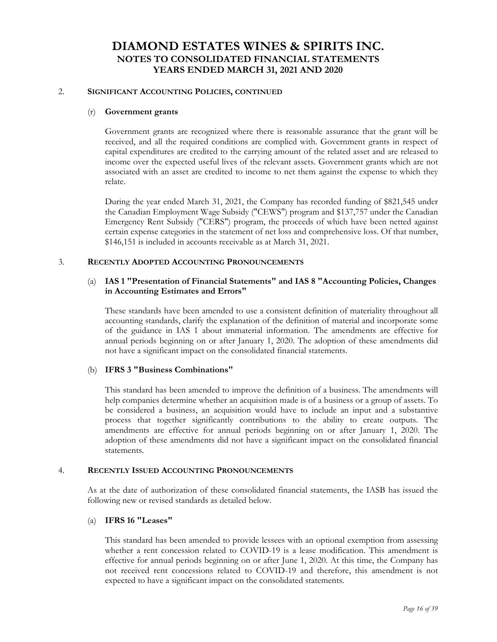### 2. **SIGNIFICANT ACCOUNTING POLICIES, CONTINUED**

### (r) **Government grants**

Government grants are recognized where there is reasonable assurance that the grant will be received, and all the required conditions are complied with. Government grants in respect of capital expenditures are credited to the carrying amount of the related asset and are released to income over the expected useful lives of the relevant assets. Government grants which are not associated with an asset are credited to income to net them against the expense to which they relate.

During the year ended March 31, 2021, the Company has recorded funding of \$821,545 under the Canadian Employment Wage Subsidy ("CEWS") program and \$137,757 under the Canadian Emergency Rent Subsidy ("CERS") program, the proceeds of which have been netted against certain expense categories in the statement of net loss and comprehensive loss. Of that number, \$146,151 is included in accounts receivable as at March 31, 2021.

### 3. **RECENTLY ADOPTED ACCOUNTING PRONOUNCEMENTS**

### (a) **IAS 1 "Presentation of Financial Statements" and IAS 8 "Accounting Policies, Changes in Accounting Estimates and Errors"**

These standards have been amended to use a consistent definition of materiality throughout all accounting standards, clarify the explanation of the definition of material and incorporate some of the guidance in IAS 1 about immaterial information. The amendments are effective for annual periods beginning on or after January 1, 2020. The adoption of these amendments did not have a significant impact on the consolidated financial statements.

### (b) **IFRS 3 "Business Combinations"**

This standard has been amended to improve the definition of a business. The amendments will help companies determine whether an acquisition made is of a business or a group of assets. To be considered a business, an acquisition would have to include an input and a substantive process that together significantly contributions to the ability to create outputs. The amendments are effective for annual periods beginning on or after January 1, 2020. The adoption of these amendments did not have a significant impact on the consolidated financial statements.

### 4. **RECENTLY ISSUED ACCOUNTING PRONOUNCEMENTS**

As at the date of authorization of these consolidated financial statements, the IASB has issued the following new or revised standards as detailed below.

### (a) **IFRS 16 "Leases"**

This standard has been amended to provide lessees with an optional exemption from assessing whether a rent concession related to COVID-19 is a lease modification. This amendment is effective for annual periods beginning on or after June 1, 2020. At this time, the Company has not received rent concessions related to COVID-19 and therefore, this amendment is not expected to have a significant impact on the consolidated statements.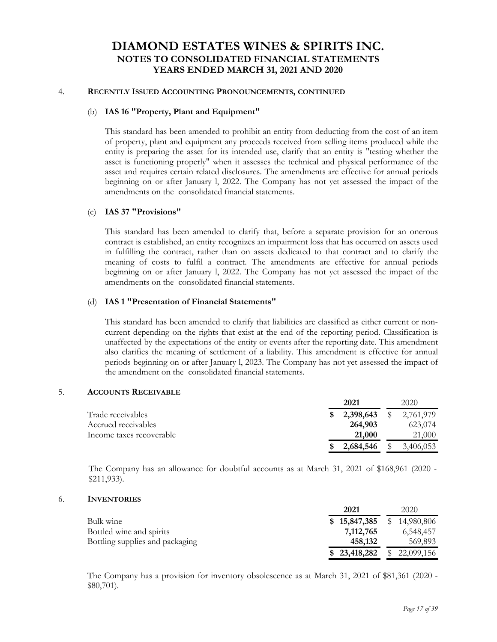### 4. **RECENTLY ISSUED ACCOUNTING PRONOUNCEMENTS, CONTINUED**

### (b) **IAS 16 "Property, Plant and Equipment"**

This standard has been amended to prohibit an entity from deducting from the cost of an item of property, plant and equipment any proceeds received from selling items produced while the entity is preparing the asset for its intended use, clarify that an entity is "testing whether the asset is functioning properly" when it assesses the technical and physical performance of the asset and requires certain related disclosures. The amendments are effective for annual periods beginning on or after January l, 2022. The Company has not yet assessed the impact of the amendments on the consolidated financial statements.

### (c) **IAS 37 "Provisions"**

This standard has been amended to clarify that, before a separate provision for an onerous contract is established, an entity recognizes an impairment loss that has occurred on assets used in fulfilling the contract, rather than on assets dedicated to that contract and to clarify the meaning of costs to fulfil a contract. The amendments are effective for annual periods beginning on or after January l, 2022. The Company has not yet assessed the impact of the amendments on the consolidated financial statements.

#### (d) **IAS 1 "Presentation of Financial Statements"**

This standard has been amended to clarify that liabilities are classified as either current or noncurrent depending on the rights that exist at the end of the reporting period. Classification is unaffected by the expectations of the entity or events after the reporting date. This amendment also clarifies the meaning of settlement of a liability. This amendment is effective for annual periods beginning on or after January l, 2023. The Company has not yet assessed the impact of the amendment on the consolidated financial statements.

#### 5. **ACCOUNTS RECEIVABLE**

|                          | 2021      |     | 2020      |
|--------------------------|-----------|-----|-----------|
| Trade receivables        | 2,398,643 | - S | 2.761.979 |
| Accrued receivables      | 264,903   |     | 623.074   |
| Income taxes recoverable | 21,000    |     | 21,000    |
|                          | 2.684,546 |     | 3,406,053 |

The Company has an allowance for doubtful accounts as at March 31, 2021 of \$168,961 (2020 - \$211,933).

#### 6. **INVENTORIES**

|                                 | 2021         | 2020         |
|---------------------------------|--------------|--------------|
| Bulk wine                       | \$15,847,385 | \$14,980,806 |
| Bottled wine and spirits        | 7,112,765    | 6,548,457    |
| Bottling supplies and packaging | 458,132      | 569,893      |
|                                 | \$23,418,282 | \$22,099,156 |

The Company has a provision for inventory obsolescence as at March 31, 2021 of \$81,361 (2020 - \$80,701).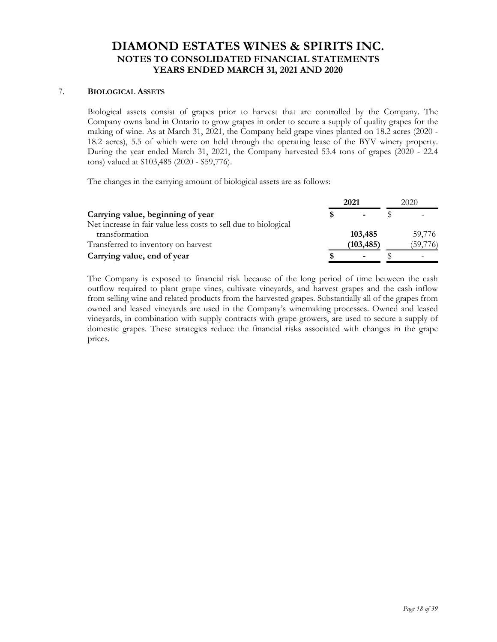### 7. **BIOLOGICAL ASSETS**

Biological assets consist of grapes prior to harvest that are controlled by the Company. The Company owns land in Ontario to grow grapes in order to secure a supply of quality grapes for the making of wine. As at March 31, 2021, the Company held grape vines planted on 18.2 acres (2020 - 18.2 acres), 5.5 of which were on held through the operating lease of the BYV winery property. During the year ended March 31, 2021, the Company harvested 53.4 tons of grapes (2020 - 22.4 tons) valued at \$103,485 (2020 - \$59,776).

The changes in the carrying amount of biological assets are as follows:

|                                                                 | 2021                     | 2020      |
|-----------------------------------------------------------------|--------------------------|-----------|
| Carrying value, beginning of year                               | $\overline{\phantom{a}}$ |           |
| Net increase in fair value less costs to sell due to biological |                          |           |
| transformation                                                  | 103,485                  | 59.776    |
| Transferred to inventory on harvest                             | (103, 485)               | (59, 776) |
| Carrying value, end of year                                     | $\overline{\phantom{0}}$ |           |

The Company is exposed to financial risk because of the long period of time between the cash outflow required to plant grape vines, cultivate vineyards, and harvest grapes and the cash inflow from selling wine and related products from the harvested grapes. Substantially all of the grapes from owned and leased vineyards are used in the Company's winemaking processes. Owned and leased vineyards, in combination with supply contracts with grape growers, are used to secure a supply of domestic grapes. These strategies reduce the financial risks associated with changes in the grape prices.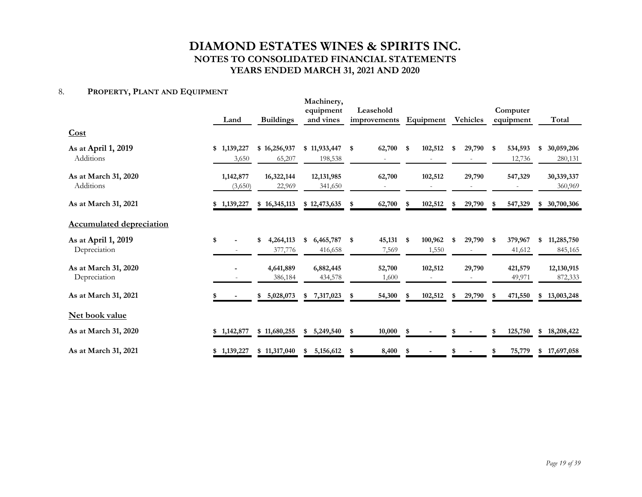### 8. **PROPERTY, PLANT AND EQUIPMENT**

|                                      |                 |         |                            | Machinery,                 |                       |      |                  |    |                 |     |                   |    |                       |
|--------------------------------------|-----------------|---------|----------------------------|----------------------------|-----------------------|------|------------------|----|-----------------|-----|-------------------|----|-----------------------|
|                                      |                 |         |                            | equipment                  | Leasehold             |      |                  |    |                 |     | Computer          |    |                       |
|                                      | Land            |         | <b>Buildings</b>           | and vines                  | improvements          |      | Equipment        |    | <b>Vehicles</b> |     | equipment         |    | Total                 |
| Cost                                 |                 |         |                            |                            |                       |      |                  |    |                 |     |                   |    |                       |
| As at April 1, 2019<br>Additions     | \$1,139,227     | 3,650   | \$16,256,937<br>65,207     | \$11,933,447<br>198,538    | \$<br>62,700          | - \$ | 102,512          | \$ | 29,790 \$       |     | 534,593<br>12,736 | \$ | 30,059,206<br>280,131 |
| As at March 31, 2020<br>Additions    | 1,142,877       | (3,650) | 16,322,144<br>22,969       | 12, 131, 985<br>341,650    | 62,700                |      | 102,512          |    | 29,790          |     | 547,329           |    | 30,339,337<br>360,969 |
| As at March 31, 2021                 | 1,139,227<br>\$ |         | 16,345,113<br>\$           | \$12,473,635               | \$<br>62,700          | S    | 102,512          | S  | 29,790          | S   | 547,329           | S  | 30,700,306            |
| <b>Accumulated depreciation</b>      |                 |         |                            |                            |                       |      |                  |    |                 |     |                   |    |                       |
| As at April 1, 2019<br>Depreciation  | \$              |         | 4,264,113<br>\$<br>377,776 | 6,465,787<br>\$<br>416,658 | \$<br>45,131<br>7,569 | - \$ | 100,962<br>1,550 | \$ | 29,790          | -\$ | 379,967<br>41,612 | \$ | 11,285,750<br>845,165 |
| As at March 31, 2020<br>Depreciation |                 |         | 4,641,889<br>386,184       | 6,882,445<br>434,578       | 52,700<br>1,600       |      | 102,512          |    | 29,790          |     | 421,579<br>49,971 |    | 12,130,915<br>872,333 |
| As at March 31, 2021                 |                 |         | 5,028,073<br>\$            | 7,317,023<br>\$            | \$<br>54,300          | - \$ | 102,512          |    | 29,790          |     | 471,550           | \$ | 13,003,248            |
| Net book value                       |                 |         |                            |                            |                       |      |                  |    |                 |     |                   |    |                       |
| As at March 31, 2020                 | 1,142,877<br>\$ |         | \$11,680,255               | 5,249,540<br>\$            | \$<br>10,000          | -\$  |                  |    |                 |     | 125,750           | \$ | 18,208,422            |
| As at March 31, 2021                 | \$1,139,227     |         | \$11,317,040               | 5,156,612                  | \$<br>8,400           | \$   |                  |    |                 |     | 75,779            | \$ | 17,697,058            |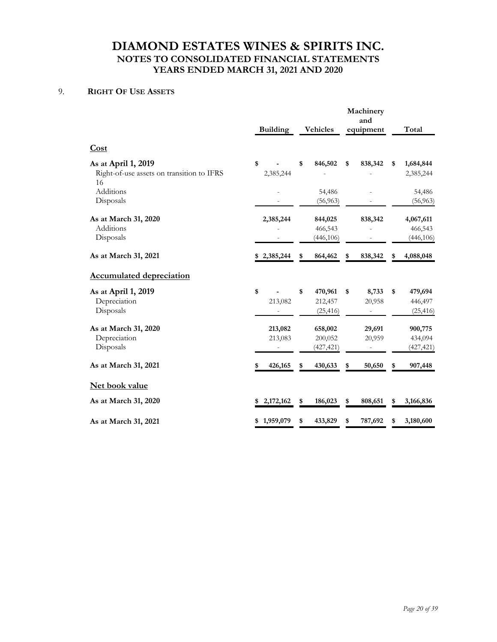### 9. **RIGHT OF USE ASSETS**

|                                                                        | <b>Building</b>    | <b>Vehicles</b>                       | Machinery<br>and<br>equipment | Total                                 |
|------------------------------------------------------------------------|--------------------|---------------------------------------|-------------------------------|---------------------------------------|
| <u>Cost</u>                                                            |                    |                                       |                               |                                       |
| As at April 1, 2019<br>Right-of-use assets on transition to IFRS<br>16 | \$<br>2,385,244    | \$<br>846,502                         | \$<br>838,342                 | \$<br>1,684,844<br>2,385,244          |
| Additions<br>Disposals                                                 |                    | 54,486<br>(56, 963)                   |                               | 54,486<br>(56, 963)                   |
| As at March 31, 2020<br>Additions<br>Disposals                         | 2,385,244          | 844,025<br>466,543<br>(446,106)       | 838,342                       | 4,067,611<br>466,543<br>(446, 106)    |
| As at March 31, 2021                                                   | 2,385,244<br>\$    | \$<br>864,462                         | \$<br>838,342                 | \$<br>4,088,048                       |
| <b>Accumulated depreciation</b>                                        |                    |                                       |                               |                                       |
| As at April 1, 2019<br>Depreciation<br>Disposals                       | \$<br>213,082      | \$<br>470,961<br>212,457<br>(25, 416) | \$<br>8,733<br>20,958         | \$<br>479,694<br>446,497<br>(25, 416) |
| As at March 31, 2020<br>Depreciation<br>Disposals                      | 213,082<br>213,083 | 658,002<br>200,052<br>(427, 421)      | 29,691<br>20,959              | 900,775<br>434,094<br>(427, 421)      |
| As at March 31, 2021                                                   | 426,165            | \$<br>430,633                         | \$<br>50,650                  | \$<br>907,448                         |
| Net book value                                                         |                    |                                       |                               |                                       |
| As at March 31, 2020                                                   | 2,172,162          | \$<br>186,023                         | \$<br>808,651                 | \$<br>3,166,836                       |
| As at March 31, 2021                                                   | \$1,959,079        | \$<br>433,829                         | \$<br>787,692                 | \$<br>3,180,600                       |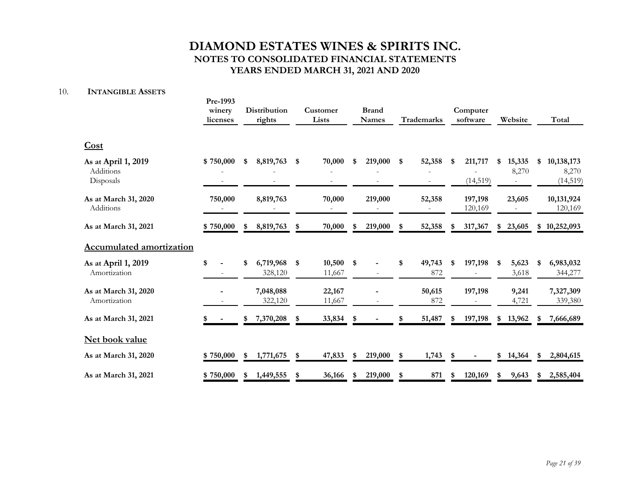### 10. **INTANGIBLE ASSETS**

|                                               |           | Pre-1993<br>Distribution<br>winery<br>rights<br>licenses |    | Customer<br>Lists    |    | <b>Brand</b><br><b>Names</b> |    | Trademarks |     | Computer<br>software |    | Website              |     |                 | Total |                                  |
|-----------------------------------------------|-----------|----------------------------------------------------------|----|----------------------|----|------------------------------|----|------------|-----|----------------------|----|----------------------|-----|-----------------|-------|----------------------------------|
| Cost                                          |           |                                                          |    |                      |    |                              |    |            |     |                      |    |                      |     |                 |       |                                  |
| As at April 1, 2019<br>Additions<br>Disposals | \$750,000 |                                                          | \$ | 8,819,763            | \$ | 70,000                       | \$ | 219,000    | -S  | 52,358               | \$ | 211,717<br>(14, 519) | \$  | 15,335<br>8,270 | \$    | 10,138,173<br>8,270<br>(14, 519) |
| As at March 31, 2020<br>Additions             | 750,000   |                                                          |    | 8,819,763            |    | 70,000                       |    | 219,000    |     | 52,358               |    | 197,198<br>120,169   |     | 23,605          |       | 10,131,924<br>120,169            |
| As at March 31, 2021                          | \$750,000 |                                                          | \$ | 8,819,763            | \$ | 70,000                       | \$ | 219,000    | \$  | 52,358               | S  | 317,367              | \$  | 23,605          |       | \$10,252,093                     |
| <b>Accumulated amortization</b>               |           |                                                          |    |                      |    |                              |    |            |     |                      |    |                      |     |                 |       |                                  |
| As at April 1, 2019<br>Amortization           | \$        |                                                          | \$ | 6,719,968<br>328,120 | \$ | $10,500$ \$<br>11,667        |    |            | \$  | 49,743<br>872        | \$ | 197,198              | -\$ | 5,623<br>3,618  | \$    | 6,983,032<br>344,277             |
| As at March 31, 2020<br>Amortization          |           |                                                          |    | 7,048,088<br>322,120 |    | 22,167<br>11,667             |    |            |     | 50,615<br>872        |    | 197,198              |     | 9,241<br>4,721  |       | 7,327,309<br>339,380             |
| As at March 31, 2021                          |           |                                                          | \$ | 7,370,208            | \$ | 33,834                       | \$ |            | S   | 51,487               | \$ | 197,198              | \$  | 13,962          | \$    | 7,666,689                        |
| Net book value                                |           |                                                          |    |                      |    |                              |    |            |     |                      |    |                      |     |                 |       |                                  |
| As at March 31, 2020                          | \$750,000 |                                                          | \$ | 1,771,675            | \$ | 47,833                       | \$ | 219,000    | \$  | $1,743$ \$           |    |                      |     | \$14,364        | \$    | 2,804,615                        |
| As at March 31, 2021                          | \$750,000 |                                                          | S  | 1,449,555            | \$ | 36,166                       |    | 219,000    | -\$ | 871                  | \$ | 120,169              | \$  | 9,643           | S     | 2,585,404                        |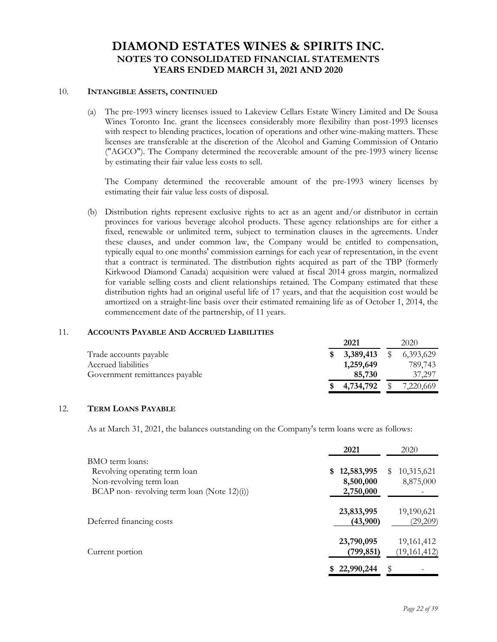### 10. **INTANGIBLE ASSETS, CONTINUED**

(a) The pre-1993 winery licenses issued to Lakeview Cellars Estate Winery Limited and De Sousa Wines Toronto Inc. grant the licensees considerably more flexibility than post-1993 licenses with respect to blending practices, location of operations and other wine-making matters. These licenses are transferable at the discretion of the Alcohol and Gaming Commission of Ontario ("AGCO"). The Company determined the recoverable amount of the pre-1993 winery license by estimating their fair value less costs to sell.

The Company determined the recoverable amount of the pre-1993 winery licenses by estimating their fair value less costs of disposal.

(b) Distribution rights represent exclusive rights to act as an agent and/or distributor in certain provinces for various beverage alcohol products. These agency relationships are for either a fixed, renewable or unlimited term, subject to termination clauses in the agreements. Under these clauses, and under common law, the Company would be entitled to compensation, typically equal to one months' commission earnings for each year of representation, in the event that a contract is terminated. The distribution rights acquired as part of the TBP (formerly Kirkwood Diamond Canada) acquisition were valued at fiscal 2014 gross margin, normalized for variable selling costs and client relationships retained. The Company estimated that these distribution rights had an original useful life of 17 years, and that the acquisition cost would be amortized on a straight-line basis over their estimated remaining life as of October 1, 2014, the commencement date of the partnership, of 11 years.

### 11. **ACCOUNTS PAYABLE AND ACCRUED LIABILITIES**

|                                | 2021      | 2020      |
|--------------------------------|-----------|-----------|
| Trade accounts payable         | 3,389,413 | 6,393,629 |
| Accrued liabilities            | 1,259,649 | 789.743   |
| Government remittances payable | 85,730    | 37.297    |
|                                | 4,734,792 | 7,220,669 |

### 12. **TERM LOANS PAYABLE**

As at March 31, 2021, the balances outstanding on the Company's term loans were as follows:

|                                              | 2021         | 2020            |
|----------------------------------------------|--------------|-----------------|
| BMO term loans:                              |              |                 |
| Revolving operating term loan                | \$12,583,995 | 10,315,621<br>S |
| Non-revolving term loan                      | 8,500,000    | 8,875,000       |
| $BCAP$ non-revolving term loan (Note 12)(i)) | 2,750,000    |                 |
|                                              | 23,833,995   | 19,190,621      |
| Deferred financing costs                     | (43,900)     | (29,209)        |
|                                              | 23,790,095   | 19, 161, 412    |
| Current portion                              | (799, 851)   | (19, 161, 412)  |
|                                              | 22,990,244   | \$              |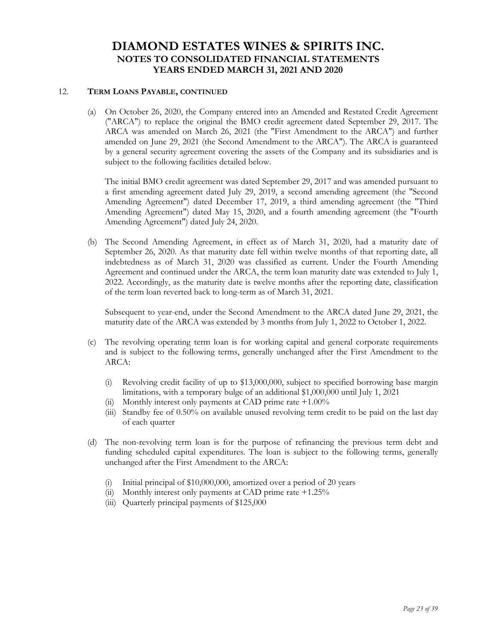### 12. **TERM LOANS PAYABLE, CONTINUED**

(a) On October 26, 2020, the Company entered into an Amended and Restated Credit Agreement ("ARCA") to replace the original the BMO credit agreement dated September 29, 2017. The ARCA was amended on March 26, 2021 (the "First Amendment to the ARCA") and further amended on June 29, 2021 (the Second Amendment to the ARCA"). The ARCA is guaranteed by a general security agreement covering the assets of the Company and its subsidiaries and is subject to the following facilities detailed below.

The initial BMO credit agreement was dated September 29, 2017 and was amended pursuant to a first amending agreement dated July 29, 2019, a second amending agreement (the "Second Amending Agreement") dated December 17, 2019, a third amending agreement (the "Third Amending Agreement") dated May 15, 2020, and a fourth amending agreement (the "Fourth Amending Agreement") dated July 24, 2020.

(b) The Second Amending Agreement, in effect as of March 31, 2020, had a maturity date of September 26, 2020. As that maturity date fell within twelve months of that reporting date, all indebtedness as of March 31, 2020 was classified as current. Under the Fourth Amending Agreement and continued under the ARCA, the term loan maturity date was extended to July 1, 2022. Accordingly, as the maturity date is twelve months after the reporting date, classification of the term loan reverted back to long-term as of March 31, 2021.

Subsequent to year-end, under the Second Amendment to the ARCA dated June 29, 2021, the maturity date of the ARCA was extended by 3 months from July 1, 2022 to October 1, 2022.

- (c) The revolving operating term loan is for working capital and general corporate requirements and is subject to the following terms, generally unchanged after the First Amendment to the ARCA:
	- (i) Revolving credit facility of up to \$13,000,000, subject to specified borrowing base margin limitations, with a temporary bulge of an additional \$1,000,000 until July 1, 2021
	- (ii) Monthly interest only payments at CAD prime rate  $+1.00\%$
	- (iii) Standby fee of 0.50% on available unused revolving term credit to be paid on the last day of each quarter
- (d) The non-revolving term loan is for the purpose of refinancing the previous term debt and funding scheduled capital expenditures. The loan is subject to the following terms, generally unchanged after the First Amendment to the ARCA:
	- (i) Initial principal of \$10,000,000, amortized over a period of 20 years
	- (ii) Monthly interest only payments at CAD prime rate  $+1.25\%$
	- (iii) Quarterly principal payments of \$125,000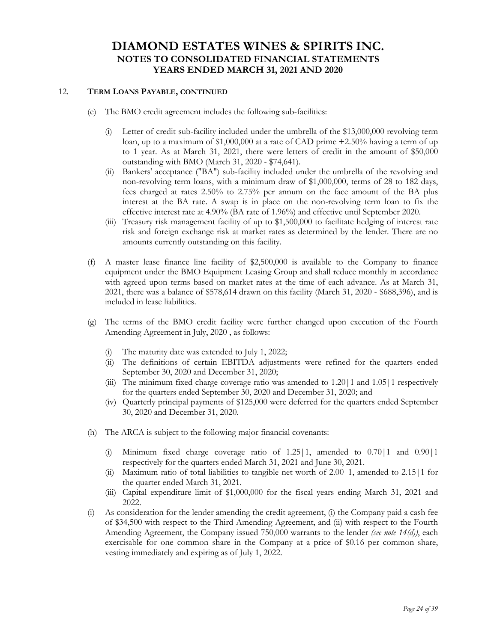### 12. **TERM LOANS PAYABLE, CONTINUED**

- (e) The BMO credit agreement includes the following sub-facilities:
	- (i) Letter of credit sub-facility included under the umbrella of the \$13,000,000 revolving term loan, up to a maximum of \$1,000,000 at a rate of CAD prime +2.50% having a term of up to 1 year. As at March 31, 2021, there were letters of credit in the amount of \$50,000 outstanding with BMO (March 31, 2020 - \$74,641).
	- (ii) Bankers' acceptance ("BA") sub-facility included under the umbrella of the revolving and non-revolving term loans, with a minimum draw of \$1,000,000, terms of 28 to 182 days, fees charged at rates 2.50% to 2.75% per annum on the face amount of the BA plus interest at the BA rate. A swap is in place on the non-revolving term loan to fix the effective interest rate at 4.90% (BA rate of 1.96%) and effective until September 2020.
	- (iii) Treasury risk management facility of up to \$1,500,000 to facilitate hedging of interest rate risk and foreign exchange risk at market rates as determined by the lender. There are no amounts currently outstanding on this facility.
- (f) A master lease finance line facility of \$2,500,000 is available to the Company to finance equipment under the BMO Equipment Leasing Group and shall reduce monthly in accordance with agreed upon terms based on market rates at the time of each advance. As at March 31, 2021, there was a balance of \$578,614 drawn on this facility (March 31, 2020 - \$688,396), and is included in lease liabilities.
- (g) The terms of the BMO credit facility were further changed upon execution of the Fourth Amending Agreement in July, 2020 , as follows:
	- (i) The maturity date was extended to July 1, 2022;
	- (ii) The definitions of certain EBITDA adjustments were refined for the quarters ended September 30, 2020 and December 31, 2020;
	- (iii) The minimum fixed charge coverage ratio was amended to 1.20|1 and 1.05|1 respectively for the quarters ended September 30, 2020 and December 31, 2020; and
	- (iv) Quarterly principal payments of \$125,000 were deferred for the quarters ended September 30, 2020 and December 31, 2020.
- (h) The ARCA is subject to the following major financial covenants:
	- (i) Minimum fixed charge coverage ratio of  $1.25|1$ , amended to  $0.70|1$  and  $0.90|1$ respectively for the quarters ended March 31, 2021 and June 30, 2021.
	- (ii) Maximum ratio of total liabilities to tangible net worth of  $2.00|1$ , amended to  $2.15|1$  for the quarter ended March 31, 2021.
	- (iii) Capital expenditure limit of \$1,000,000 for the fiscal years ending March 31, 2021 and 2022.
- (i) As consideration for the lender amending the credit agreement, (i) the Company paid a cash fee of \$34,500 with respect to the Third Amending Agreement, and (ii) with respect to the Fourth Amending Agreement, the Company issued 750,000 warrants to the lender *(see note 14(d))*, each exercisable for one common share in the Company at a price of \$0.16 per common share, vesting immediately and expiring as of July 1, 2022.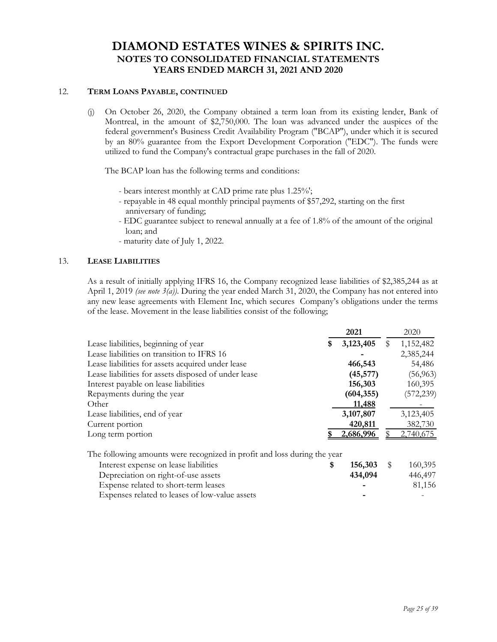### 12. **TERM LOANS PAYABLE, CONTINUED**

(j) On October 26, 2020, the Company obtained a term loan from its existing lender, Bank of Montreal, in the amount of \$2,750,000. The loan was advanced under the auspices of the federal government's Business Credit Availability Program ("BCAP"), under which it is secured by an 80% guarantee from the Export Development Corporation ("EDC"). The funds were utilized to fund the Company's contractual grape purchases in the fall of 2020.

The BCAP loan has the following terms and conditions:

- bears interest monthly at CAD prime rate plus 1.25%';
- repayable in 48 equal monthly principal payments of \$57,292, starting on the first anniversary of funding;
- EDC guarantee subject to renewal annually at a fee of 1.8% of the amount of the original loan; and
- maturity date of July 1, 2022.

Expenses related to leases of low-value assets

### 13. **LEASE LIABILITIES**

As a result of initially applying IFRS 16, the Company recognized lease liabilities of \$2,385,244 as at April 1, 2019 *(see note 3(a))*. During the year ended March 31, 2020, the Company has not entered into any new lease agreements with Element Inc, which secures Company's obligations under the terms of the lease. Movement in the lease liabilities consist of the following;

|                                                                          | 2021            |    | 2020       |
|--------------------------------------------------------------------------|-----------------|----|------------|
| Lease liabilities, beginning of year                                     | \$<br>3,123,405 | \$ | 1,152,482  |
| Lease liabilities on transition to IFRS 16                               |                 |    | 2,385,244  |
| Lease liabilities for assets acquired under lease                        | 466,543         |    | 54,486     |
| Lease liabilities for assets disposed of under lease                     | (45, 577)       |    | (56, 963)  |
| Interest payable on lease liabilities                                    | 156,303         |    | 160,395    |
| Repayments during the year                                               | (604, 355)      |    | (572, 239) |
| Other                                                                    | 11,488          |    |            |
| Lease liabilities, end of year                                           | 3,107,807       |    | 3,123,405  |
| Current portion                                                          | 420,811         |    | 382,730    |
| Long term portion                                                        | 2,686,996       |    | 2,740,675  |
| The following amounts were recognized in profit and loss during the year |                 |    |            |
| Interest expense on lease liabilities                                    | \$<br>156,303   | S  | 160,395    |
| Depreciation on right-of-use assets                                      | 434,094         |    | 446,497    |
| Expense related to short-term leases                                     |                 |    | 81,156     |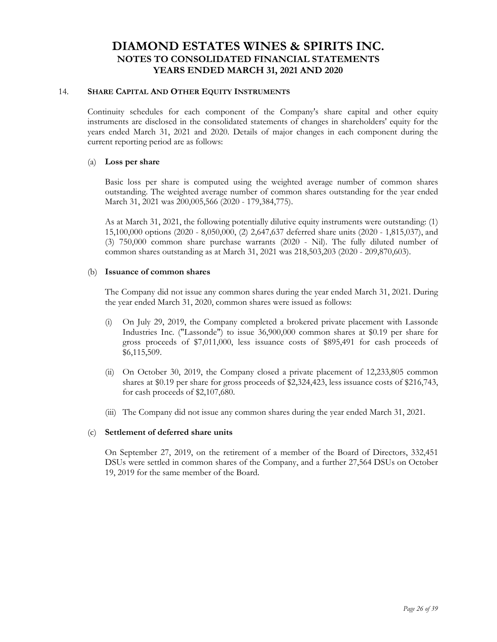### 14. **SHARE CAPITAL AND OTHER EQUITY INSTRUMENTS**

Continuity schedules for each component of the Company's share capital and other equity instruments are disclosed in the consolidated statements of changes in shareholders' equity for the years ended March 31, 2021 and 2020. Details of major changes in each component during the current reporting period are as follows:

### (a) **Loss per share**

Basic loss per share is computed using the weighted average number of common shares outstanding. The weighted average number of common shares outstanding for the year ended March 31, 2021 was 200,005,566 (2020 - 179,384,775).

As at March 31, 2021, the following potentially dilutive equity instruments were outstanding: (1) 15,100,000 options (2020 - 8,050,000, (2) 2,647,637 deferred share units (2020 - 1,815,037), and (3) 750,000 common share purchase warrants (2020 - Nil). The fully diluted number of common shares outstanding as at March 31, 2021 was 218,503,203 (2020 - 209,870,603).

### (b) **Issuance of common shares**

The Company did not issue any common shares during the year ended March 31, 2021. During the year ended March 31, 2020, common shares were issued as follows:

- (i) On July 29, 2019, the Company completed a brokered private placement with Lassonde Industries Inc. ("Lassonde") to issue 36,900,000 common shares at \$0.19 per share for gross proceeds of \$7,011,000, less issuance costs of \$895,491 for cash proceeds of \$6,115,509.
- (ii) On October 30, 2019, the Company closed a private placement of 12,233,805 common shares at \$0.19 per share for gross proceeds of \$2,324,423, less issuance costs of \$216,743, for cash proceeds of \$2,107,680.
- (iii) The Company did not issue any common shares during the year ended March 31, 2021.

### (c) **Settlement of deferred share units**

On September 27, 2019, on the retirement of a member of the Board of Directors, 332,451 DSUs were settled in common shares of the Company, and a further 27,564 DSUs on October 19, 2019 for the same member of the Board.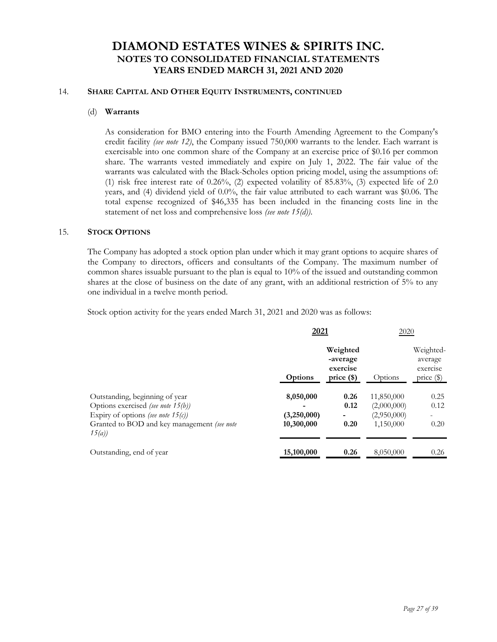### 14. **SHARE CAPITAL AND OTHER EQUITY INSTRUMENTS, CONTINUED**

### (d) **Warrants**

As consideration for BMO entering into the Fourth Amending Agreement to the Company's credit facility *(see note 12)*, the Company issued 750,000 warrants to the lender. Each warrant is exercisable into one common share of the Company at an exercise price of \$0.16 per common share. The warrants vested immediately and expire on July 1, 2022. The fair value of the warrants was calculated with the Black-Scholes option pricing model, using the assumptions of: (1) risk free interest rate of  $0.26\%$ , (2) expected volatility of  $85.83\%$ , (3) expected life of 2.0 years, and (4) dividend yield of 0.0%, the fair value attributed to each warrant was \$0.06. The total expense recognized of \$46,335 has been included in the financing costs line in the statement of net loss and comprehensive loss *(see note 15(d))*.

### 15. **STOCK OPTIONS**

The Company has adopted a stock option plan under which it may grant options to acquire shares of the Company to directors, officers and consultants of the Company. The maximum number of common shares issuable pursuant to the plan is equal to 10% of the issued and outstanding common shares at the close of business on the date of any grant, with an additional restriction of 5% to any one individual in a twelve month period.

Stock option activity for the years ended March 31, 2021 and 2020 was as follows:

|                                                                                                                                                                       |                                        | 2021                                             |                                                       | 2020                                             |  |  |
|-----------------------------------------------------------------------------------------------------------------------------------------------------------------------|----------------------------------------|--------------------------------------------------|-------------------------------------------------------|--------------------------------------------------|--|--|
|                                                                                                                                                                       | Options                                | Weighted<br>-average<br>exercise<br>price $(\$)$ | Options                                               | Weighted-<br>average<br>exercise<br>price $(\$)$ |  |  |
| Outstanding, beginning of year<br>Options exercised (see note 15(b))<br>Expiry of options (see note $15(c)$ )<br>Granted to BOD and key management (see note<br>15(a) | 8,050,000<br>(3,250,000)<br>10,300,000 | 0.26<br>0.12<br>۰<br>0.20                        | 11,850,000<br>(2,000,000)<br>(2,950,000)<br>1,150,000 | 0.25<br>0.12<br>0.20                             |  |  |
| Outstanding, end of year                                                                                                                                              | 15,100,000                             | 0.26                                             | 8,050,000                                             | 0.26                                             |  |  |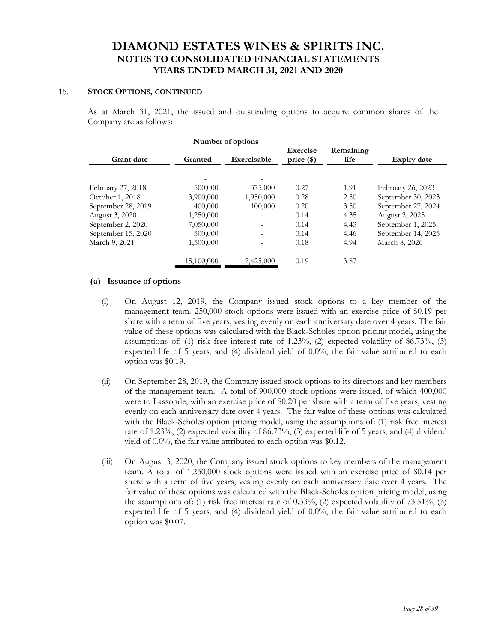#### 15. **STOCK OPTIONS, CONTINUED**

As at March 31, 2021, the issued and outstanding options to acquire common shares of the Company are as follows:

| Number of options  |            |             |                        |                   |                    |
|--------------------|------------|-------------|------------------------|-------------------|--------------------|
| <b>Grant</b> date  | Granted    | Exercisable | Exercise<br>price (\$) | Remaining<br>life | <b>Expiry date</b> |
|                    |            |             |                        |                   |                    |
| February 27, 2018  | 500,000    | 375,000     | 0.27                   | 1.91              | February 26, 2023  |
| October 1, 2018    | 3,900,000  | 1,950,000   | 0.28                   | 2.50              | September 30, 2023 |
| September 28, 2019 | 400,000    | 100,000     | 0.20                   | 3.50              | September 27, 2024 |
| August 3, 2020     | 1,250,000  |             | 0.14                   | 4.35              | August 2, 2025     |
| September 2, 2020  | 7,050,000  | ۰           | 0.14                   | 4.43              | September 1, 2025  |
| September 15, 2020 | 500,000    |             | 0.14                   | 4.46              | September 14, 2025 |
| March 9, 2021      | 1,500,000  |             | 0.18                   | 4.94              | March 8, 2026      |
|                    | 15,100,000 | 2,425,000   | 0.19                   | 3.87              |                    |

#### **(a) Issuance of options**

- (i) On August 12, 2019, the Company issued stock options to a key member of the management team. 250,000 stock options were issued with an exercise price of \$0.19 per share with a term of five years, vesting evenly on each anniversary date over 4 years. The fair value of these options was calculated with the Black-Scholes option pricing model, using the assumptions of: (1) risk free interest rate of  $1.23\%$ , (2) expected volatility of 86.73%, (3) expected life of 5 years, and (4) dividend yield of 0.0%, the fair value attributed to each option was \$0.19.
- (ii) On September 28, 2019, the Company issued stock options to its directors and key members of the management team. A total of 900,000 stock options were issued, of which 400,000 were to Lassonde, with an exercise price of \$0.20 per share with a term of five years, vesting evenly on each anniversary date over 4 years. The fair value of these options was calculated with the Black-Scholes option pricing model, using the assumptions of: (1) risk free interest rate of 1.23%, (2) expected volatility of 86.73%, (3) expected life of 5 years, and (4) dividend yield of 0.0%, the fair value attributed to each option was \$0.12.
- (iii) On August 3, 2020, the Company issued stock options to key members of the management team. A total of 1,250,000 stock options were issued with an exercise price of \$0.14 per share with a term of five years, vesting evenly on each anniversary date over 4 years. The fair value of these options was calculated with the Black-Scholes option pricing model, using the assumptions of: (1) risk free interest rate of  $0.33\%$ , (2) expected volatility of  $73.51\%$ , (3) expected life of 5 years, and (4) dividend yield of 0.0%, the fair value attributed to each option was \$0.07.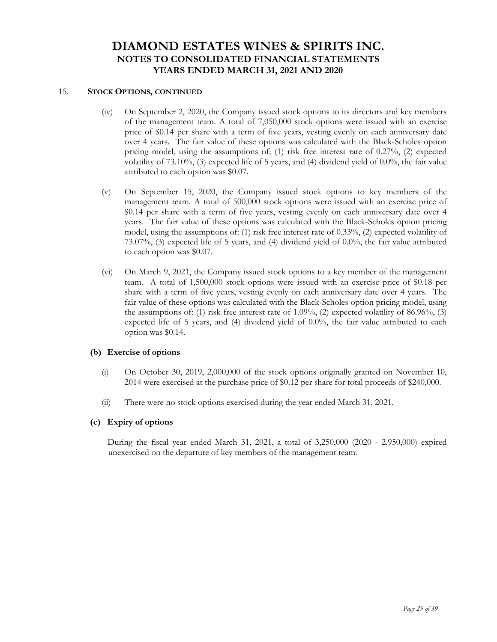### 15. **STOCK OPTIONS, CONTINUED**

- (iv) On September 2, 2020, the Company issued stock options to its directors and key members of the management team. A total of 7,050,000 stock options were issued with an exercise price of \$0.14 per share with a term of five years, vesting evenly on each anniversary date over 4 years. The fair value of these options was calculated with the Black-Scholes option pricing model, using the assumptions of: (1) risk free interest rate of 0.27%, (2) expected volatility of 73.10%, (3) expected life of 5 years, and (4) dividend yield of 0.0%, the fair value attributed to each option was \$0.07.
- (v) On September 15, 2020, the Company issued stock options to key members of the management team. A total of 500,000 stock options were issued with an exercise price of \$0.14 per share with a term of five years, vesting evenly on each anniversary date over 4 years. The fair value of these options was calculated with the Black-Scholes option pricing model, using the assumptions of: (1) risk free interest rate of 0.33%, (2) expected volatility of 73.07%, (3) expected life of 5 years, and (4) dividend yield of 0.0%, the fair value attributed to each option was \$0.07.
- (vi) On March 9, 2021, the Company issued stock options to a key member of the management team. A total of 1,500,000 stock options were issued with an exercise price of \$0.18 per share with a term of five years, vesting evenly on each anniversary date over 4 years. The fair value of these options was calculated with the Black-Scholes option pricing model, using the assumptions of: (1) risk free interest rate of 1.09%, (2) expected volatility of 86.96%, (3) expected life of 5 years, and (4) dividend yield of 0.0%, the fair value attributed to each option was \$0.14.

### **(b) Exercise of options**

- (i) On October 30, 2019, 2,000,000 of the stock options originally granted on November 10, 2014 were exercised at the purchase price of \$0.12 per share for total proceeds of \$240,000.
- (ii) There were no stock options exercised during the year ended March 31, 2021.

### **(c) Expiry of options**

During the fiscal year ended March 31, 2021, a total of 3,250,000 (2020 - 2,950,000) expired unexercised on the departure of key members of the management team.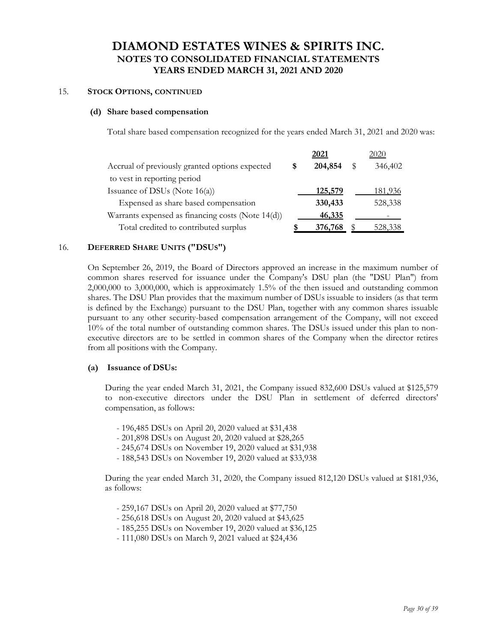### 15. **STOCK OPTIONS, CONTINUED**

### **(d) Share based compensation**

Total share based compensation recognized for the years ended March 31, 2021 and 2020 was:

|   | 2021    | 2020    |
|---|---------|---------|
| S | 204,854 | 346,402 |
|   |         |         |
|   | 125,579 | 181,936 |
|   | 330,433 | 528,338 |
|   | 46,335  |         |
|   | 376,768 | 528,338 |
|   |         |         |

### 16. **DEFERRED SHARE UNITS ("DSUS")**

On September 26, 2019, the Board of Directors approved an increase in the maximum number of common shares reserved for issuance under the Company's DSU plan (the "DSU Plan") from 2,000,000 to 3,000,000, which is approximately 1.5% of the then issued and outstanding common shares. The DSU Plan provides that the maximum number of DSUs issuable to insiders (as that term is defined by the Exchange) pursuant to the DSU Plan, together with any common shares issuable pursuant to any other security-based compensation arrangement of the Company, will not exceed 10% of the total number of outstanding common shares. The DSUs issued under this plan to nonexecutive directors are to be settled in common shares of the Company when the director retires from all positions with the Company.

### **(a) Issuance of DSUs:**

During the year ended March 31, 2021, the Company issued 832,600 DSUs valued at \$125,579 to non-executive directors under the DSU Plan in settlement of deferred directors' compensation, as follows:

- 196,485 DSUs on April 20, 2020 valued at \$31,438
- 201,898 DSUs on August 20, 2020 valued at \$28,265
- 245,674 DSUs on November 19, 2020 valued at \$31,938
- 188,543 DSUs on November 19, 2020 valued at \$33,938

During the year ended March 31, 2020, the Company issued 812,120 DSUs valued at \$181,936, as follows:

- 259,167 DSUs on April 20, 2020 valued at \$77,750
- 256,618 DSUs on August 20, 2020 valued at \$43,625
- 185,255 DSUs on November 19, 2020 valued at \$36,125
- 111,080 DSUs on March 9, 2021 valued at \$24,436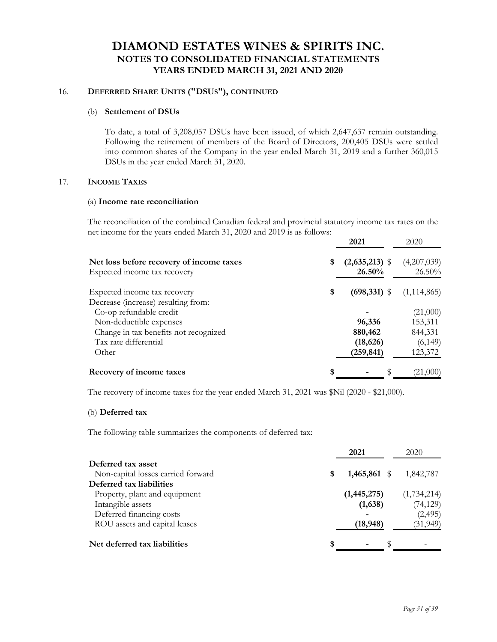### 16. **DEFERRED SHARE UNITS ("DSUS"), CONTINUED**

### (b) **Settlement of DSUs**

To date, a total of 3,208,057 DSUs have been issued, of which 2,647,637 remain outstanding. Following the retirement of members of the Board of Directors, 200,405 DSUs were settled into common shares of the Company in the year ended March 31, 2019 and a further 360,015 DSUs in the year ended March 31, 2020.

#### 17. **INCOME TAXES**

### (a) **Income rate reconciliation**

The reconciliation of the combined Canadian federal and provincial statutory income tax rates on the net income for the years ended March 31, 2020 and 2019 is as follows:

|                                                                          | 2021                             | 2020                  |
|--------------------------------------------------------------------------|----------------------------------|-----------------------|
| Net loss before recovery of income taxes<br>Expected income tax recovery | \$<br>$(2,635,213)$ \$<br>26.50% | (4,207,039)<br>26.50% |
| Expected income tax recovery                                             | \$<br>$(698,331)$ \$             | (1, 114, 865)         |
| Decrease (increase) resulting from:                                      |                                  |                       |
| Co-op refundable credit                                                  |                                  | (21,000)              |
| Non-deductible expenses                                                  | 96,336                           | 153,311               |
| Change in tax benefits not recognized                                    | 880,462                          | 844,331               |
| Tax rate differential                                                    | (18, 626)                        | (6,149)               |
| Other                                                                    | (259,841)                        | 123,372               |
| Recovery of income taxes                                                 |                                  | (21,000)              |

The recovery of income taxes for the year ended March 31, 2021 was \$Nil (2020 - \$21,000).

#### (b) **Deferred tax**

The following table summarizes the components of deferred tax:

|                                    |    | 2021         | 2020        |
|------------------------------------|----|--------------|-------------|
| Deferred tax asset                 |    |              |             |
| Non-capital losses carried forward | \$ | 1,465,861 \$ | 1,842,787   |
| Deferred tax liabilities           |    |              |             |
| Property, plant and equipment      |    | (1,445,275)  | (1,734,214) |
| Intangible assets                  |    | (1,638)      | (74, 129)   |
| Deferred financing costs           |    |              | (2, 495)    |
| ROU assets and capital leases      |    | (18,948)     | (31, 949)   |
| Net deferred tax liabilities       | S  |              |             |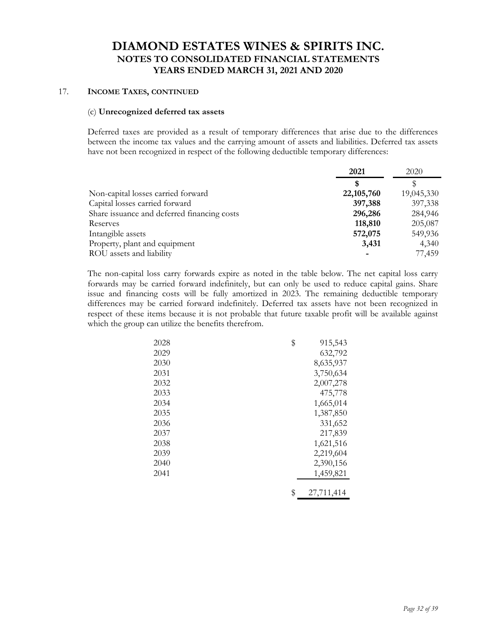### 17. **INCOME TAXES, CONTINUED**

### (c) **Unrecognized deferred tax assets**

Deferred taxes are provided as a result of temporary differences that arise due to the differences between the income tax values and the carrying amount of assets and liabilities. Deferred tax assets have not been recognized in respect of the following deductible temporary differences:

|                                             | 2021         | 2020       |
|---------------------------------------------|--------------|------------|
|                                             | S            |            |
| Non-capital losses carried forward          | 22, 105, 760 | 19,045,330 |
| Capital losses carried forward              | 397,388      | 397,338    |
| Share issuance and deferred financing costs | 296,286      | 284,946    |
| Reserves                                    | 118,810      | 205,087    |
| Intangible assets                           | 572,075      | 549,936    |
| Property, plant and equipment               | 3,431        | 4,340      |
| ROU assets and liability                    |              | 77,459     |

The non-capital loss carry forwards expire as noted in the table below. The net capital loss carry forwards may be carried forward indefinitely, but can only be used to reduce capital gains. Share issue and financing costs will be fully amortized in 2023. The remaining deductible temporary differences may be carried forward indefinitely. Deferred tax assets have not been recognized in respect of these items because it is not probable that future taxable profit will be available against which the group can utilize the benefits therefrom.

| 2028 | \$<br>915,543    |
|------|------------------|
| 2029 | 632,792          |
| 2030 | 8,635,937        |
| 2031 | 3,750,634        |
| 2032 | 2,007,278        |
| 2033 | 475,778          |
| 2034 | 1,665,014        |
| 2035 | 1,387,850        |
| 2036 | 331,652          |
| 2037 | 217,839          |
| 2038 | 1,621,516        |
| 2039 | 2,219,604        |
| 2040 | 2,390,156        |
| 2041 | 1,459,821        |
|      |                  |
|      | \$<br>27,711,414 |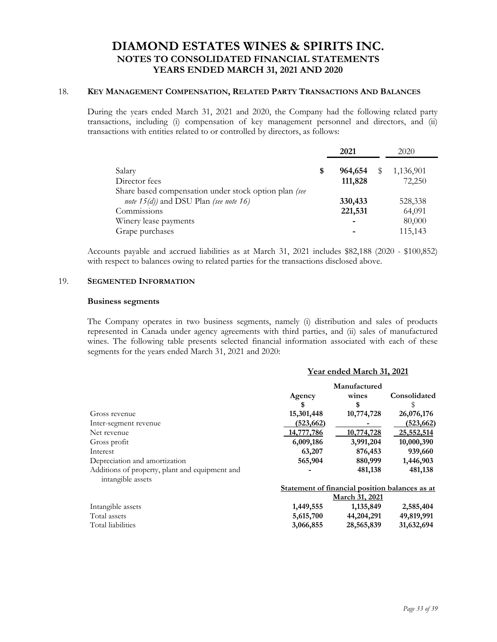### 18. **KEY MANAGEMENT COMPENSATION, RELATED PARTY TRANSACTIONS AND BALANCES**

During the years ended March 31, 2021 and 2020, the Company had the following related party transactions, including (i) compensation of key management personnel and directors, and (ii) transactions with entities related to or controlled by directors, as follows:

|                                                                                                            | 2021                     |    | 2020                |
|------------------------------------------------------------------------------------------------------------|--------------------------|----|---------------------|
| Salary<br>Director fees                                                                                    | \$<br>964,654<br>111,828 | \$ | 1,136,901<br>72,250 |
| Share based compensation under stock option plan (see<br><i>note</i> $15(d)$ and DSU Plan (see note $16$ ) | 330,433                  |    | 528,338             |
| Commissions                                                                                                | 221,531                  |    | 64,091              |
| Winery lease payments                                                                                      |                          |    | 80,000              |
| Grape purchases                                                                                            |                          |    | 115,143             |

Accounts payable and accrued liabilities as at March 31, 2021 includes \$82,188 (2020 - \$100,852) with respect to balances owing to related parties for the transactions disclosed above.

### 19. **SEGMENTED INFORMATION**

#### **Business segments**

The Company operates in two business segments, namely (i) distribution and sales of products represented in Canada under agency agreements with third parties, and (ii) sales of manufactured wines. The following table presents selected financial information associated with each of these segments for the years ended March 31, 2021 and 2020:

#### **Year ended March 31, 2021**

|                                                                     | Agency<br>\$                                   | Manufactured<br>wines<br>\$ | Consolidated<br>\$ |
|---------------------------------------------------------------------|------------------------------------------------|-----------------------------|--------------------|
| Gross revenue                                                       | 15,301,448                                     | 10,774,728                  | 26,076,176         |
| Inter-segment revenue                                               | (523, 662)                                     |                             | (523, 662)         |
| Net revenue                                                         | 14,777,786                                     | 10,774,728                  | 25,552,514         |
| Gross profit                                                        | 6,009,186                                      | 3,991,204                   | 10,000,390         |
| Interest                                                            | 63,207                                         | 876,453                     | 939,660            |
| Depreciation and amortization                                       | 565,904                                        | 880,999                     | 1,446,903          |
| Additions of property, plant and equipment and<br>intangible assets |                                                | 481,138                     | 481,138            |
|                                                                     | Statement of financial position balances as at |                             |                    |
|                                                                     |                                                | March 31, 2021              |                    |
| Intangible assets                                                   | 1,449,555                                      | 1,135,849                   | 2,585,404          |
| Total assets                                                        | 5,615,700                                      | 44,204,291                  | 49,819,991         |
| Total liabilities                                                   | 3,066,855                                      | 28,565,839                  | 31,632,694         |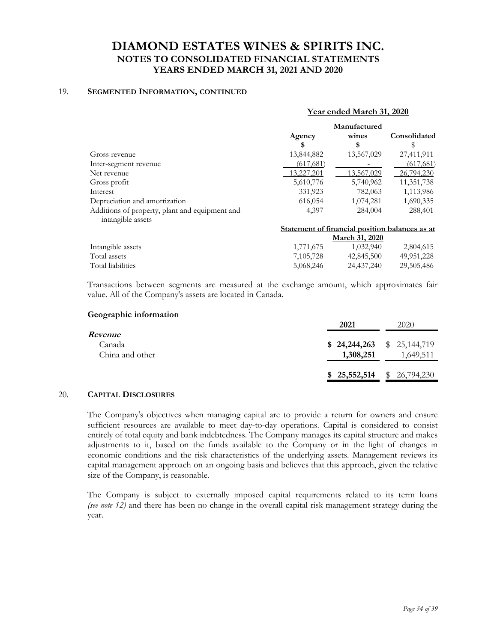### 19. **SEGMENTED INFORMATION, CONTINUED**

#### **Year ended March 31, 2020 Agency Manufactured wines Consolidated \$ \$** \$ Gross revenue 13,844,882 13,567,029 27,411,911<br>Inter-segment revenue (617,681) (617,681) Inter-segment revenue (617,681) (617,681) (617,681) Net revenue 13,227,201 13,567,029 26,794,230 Gross profit 5,610,776 5,740,962 11,351,738 Interest 331,923 782,063 1,113,986 Depreciation and amortization 616,054 1,074,281 1,690,335 Additions of property, plant and equipment and intangible assets 4,397 284,004 288,401 **Statement of financial position balances as at March 31, 2020** Intangible assets 1,771,675 1,032,940 2,804,615 Total assets **7,105,728** 42,845,500 49,951,228 Total liabilities 5,068,246 24,437,240 29,505,486

Transactions between segments are measured at the exchange amount, which approximates fair value. All of the Company's assets are located in Canada.

| Geographic information |                             |              |
|------------------------|-----------------------------|--------------|
|                        | 2021                        | 2020         |
| Revenue                |                             |              |
| Canada                 | $$24,244,263$ $$25,144,719$ |              |
| China and other        | 1,308,251                   | 1,649,511    |
|                        | \$25,552,514                | \$26,794,230 |

### 20. **CAPITAL DISCLOSURES**

The Company's objectives when managing capital are to provide a return for owners and ensure sufficient resources are available to meet day-to-day operations. Capital is considered to consist entirely of total equity and bank indebtedness. The Company manages its capital structure and makes adjustments to it, based on the funds available to the Company or in the light of changes in economic conditions and the risk characteristics of the underlying assets. Management reviews its capital management approach on an ongoing basis and believes that this approach, given the relative size of the Company, is reasonable.

The Company is subject to externally imposed capital requirements related to its term loans *(see note 12)* and there has been no change in the overall capital risk management strategy during the year.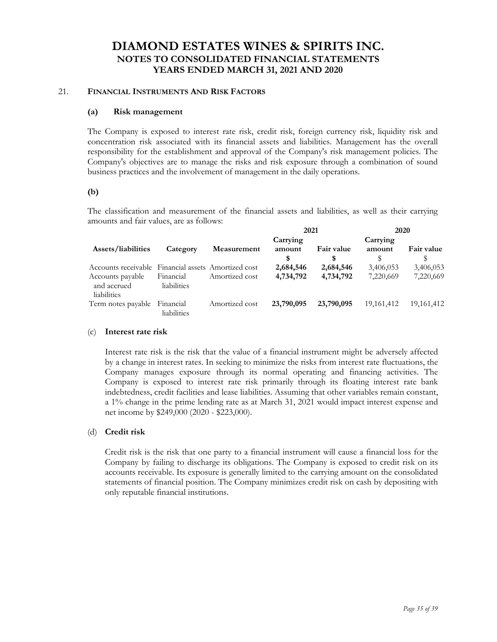### 21. **FINANCIAL INSTRUMENTS AND RISK FACTORS**

### **(a) Risk management**

The Company is exposed to interest rate risk, credit risk, foreign currency risk, liquidity risk and concentration risk associated with its financial assets and liabilities. Management has the overall responsibility for the establishment and approval of the Company's risk management policies. The Company's objectives are to manage the risks and risk exposure through a combination of sound business practices and the involvement of management in the daily operations.

### **(b)**

The classification and measurement of the financial assets and liabilities, as well as their carrying amounts and fair values, are as follows:

|                                                     |                          |                | 2021       |            | 2020         |            |
|-----------------------------------------------------|--------------------------|----------------|------------|------------|--------------|------------|
|                                                     |                          |                | Carrying   |            | Carrying     |            |
| Assets/liabilities                                  | Category                 | Measurement    | amount     | Fair value | amount       | Fair value |
|                                                     |                          |                |            | S          |              |            |
| Accounts receivable Financial assets Amortized cost |                          |                | 2,684,546  | 2,684,546  | 3,406,053    | 3,406,053  |
| Accounts payable<br>and accrued<br>liabilities      | Financial<br>liabilities | Amortized cost | 4,734,792  | 4,734,792  | 7,220,669    | 7,220,669  |
| Term notes payable                                  | Financial<br>liabilities | Amortized cost | 23,790,095 | 23,790,095 | 19, 161, 412 | 19,161,412 |

### (c) **Interest rate risk**

Interest rate risk is the risk that the value of a financial instrument might be adversely affected by a change in interest rates. In seeking to minimize the risks from interest rate fluctuations, the Company manages exposure through its normal operating and financing activities. The Company is exposed to interest rate risk primarily through its floating interest rate bank indebtedness, credit facilities and lease liabilities. Assuming that other variables remain constant, a 1% change in the prime lending rate as at March 31, 2021 would impact interest expense and net income by \$249,000 (2020 - \$223,000).

### (d) **Credit risk**

Credit risk is the risk that one party to a financial instrument will cause a financial loss for the Company by failing to discharge its obligations. The Company is exposed to credit risk on its accounts receivable. Its exposure is generally limited to the carrying amount on the consolidated statements of financial position. The Company minimizes credit risk on cash by depositing with only reputable financial institutions.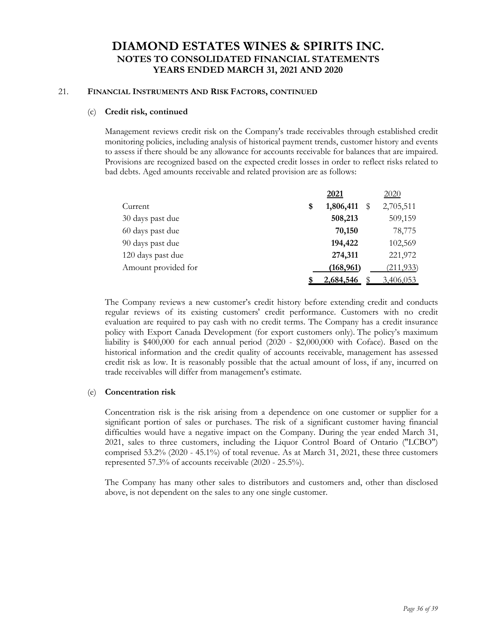### 21. **FINANCIAL INSTRUMENTS AND RISK FACTORS, CONTINUED**

### (c) **Credit risk, continued**

Management reviews credit risk on the Company's trade receivables through established credit monitoring policies, including analysis of historical payment trends, customer history and events to assess if there should be any allowance for accounts receivable for balances that are impaired. Provisions are recognized based on the expected credit losses in order to reflect risks related to bad debts. Aged amounts receivable and related provision are as follows:

|                     | 2021            |   | 2020       |
|---------------------|-----------------|---|------------|
| Current             | \$<br>1,806,411 | S | 2,705,511  |
| 30 days past due    | 508,213         |   | 509,159    |
| 60 days past due    | 70,150          |   | 78,775     |
| 90 days past due    | 194,422         |   | 102,569    |
| 120 days past due   | 274,311         |   | 221,972    |
| Amount provided for | (168, 961)      |   | (211, 933) |
|                     | 2,684,546       |   | 3,406,053  |

The Company reviews a new customer's credit history before extending credit and conducts regular reviews of its existing customers' credit performance. Customers with no credit evaluation are required to pay cash with no credit terms. The Company has a credit insurance policy with Export Canada Development (for export customers only). The policy's maximum liability is \$400,000 for each annual period (2020 - \$2,000,000 with Coface). Based on the historical information and the credit quality of accounts receivable, management has assessed credit risk as low. It is reasonably possible that the actual amount of loss, if any, incurred on trade receivables will differ from management's estimate.

### (e) **Concentration risk**

Concentration risk is the risk arising from a dependence on one customer or supplier for a significant portion of sales or purchases. The risk of a significant customer having financial difficulties would have a negative impact on the Company. During the year ended March 31, 2021, sales to three customers, including the Liquor Control Board of Ontario ("LCBO") comprised 53.2% (2020 - 45.1%) of total revenue. As at March 31, 2021, these three customers represented 57.3% of accounts receivable (2020 - 25.5%).

The Company has many other sales to distributors and customers and, other than disclosed above, is not dependent on the sales to any one single customer.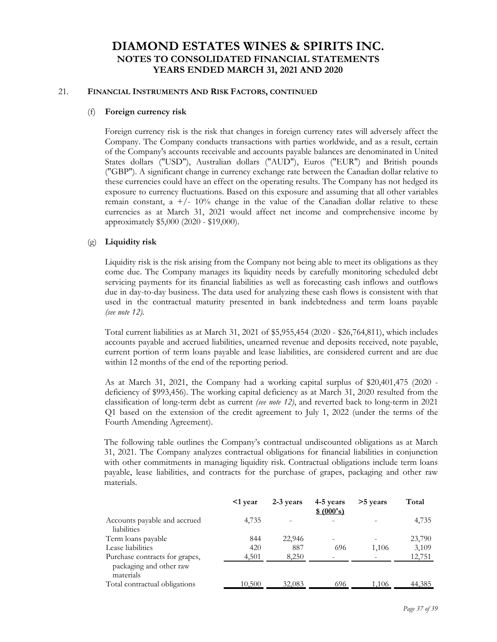### 21. **FINANCIAL INSTRUMENTS AND RISK FACTORS, CONTINUED**

### (f) **Foreign currency risk**

Foreign currency risk is the risk that changes in foreign currency rates will adversely affect the Company. The Company conducts transactions with parties worldwide, and as a result, certain of the Company's accounts receivable and accounts payable balances are denominated in United States dollars ("USD"), Australian dollars ("AUD"), Euros ("EUR") and British pounds ("GBP"). A significant change in currency exchange rate between the Canadian dollar relative to these currencies could have an effect on the operating results. The Company has not hedged its exposure to currency fluctuations. Based on this exposure and assuming that all other variables remain constant,  $a +/- 10\%$  change in the value of the Canadian dollar relative to these currencies as at March 31, 2021 would affect net income and comprehensive income by approximately \$5,000 (2020 - \$19,000).

### (g) **Liquidity risk**

Liquidity risk is the risk arising from the Company not being able to meet its obligations as they come due. The Company manages its liquidity needs by carefully monitoring scheduled debt servicing payments for its financial liabilities as well as forecasting cash inflows and outflows due in day-to-day business. The data used for analyzing these cash flows is consistent with that used in the contractual maturity presented in bank indebtedness and term loans payable *(see note 12).*

Total current liabilities as at March 31, 2021 of \$5,955,454 (2020 - \$26,764,811), which includes accounts payable and accrued liabilities, unearned revenue and deposits received, note payable, current portion of term loans payable and lease liabilities, are considered current and are due within 12 months of the end of the reporting period.

As at March 31, 2021, the Company had a working capital surplus of \$20,401,475 (2020 deficiency of \$993,456). The working capital deficiency as at March 31, 2020 resulted from the classification of long-term debt as current *(see note 12)*, and reverted back to long-term in 2021 Q1 based on the extension of the credit agreement to July 1, 2022 (under the terms of the Fourth Amending Agreement).

The following table outlines the Company's contractual undiscounted obligations as at March 31, 2021. The Company analyzes contractual obligations for financial liabilities in conjunction with other commitments in managing liquidity risk. Contractual obligations include term loans payable, lease liabilities, and contracts for the purchase of grapes, packaging and other raw materials.

|                                                                        | $\leq 1$ year | 2-3 years | 4-5 years<br>\$ (000's) | >5 years | Total  |
|------------------------------------------------------------------------|---------------|-----------|-------------------------|----------|--------|
| Accounts payable and accrued<br>liabilities                            | 4,735         |           |                         |          | 4,735  |
| Term loans payable                                                     | 844           | 22,946    |                         |          | 23,790 |
| Lease liabilities                                                      | 420           | 887       | 696                     | 1,106    | 3,109  |
| Purchase contracts for grapes,<br>packaging and other raw<br>materials | 4,501         | 8,250     |                         |          | 12,751 |
| Total contractual obligations                                          | 10,500        | 32,083    | 696                     | 1.106    | 44,385 |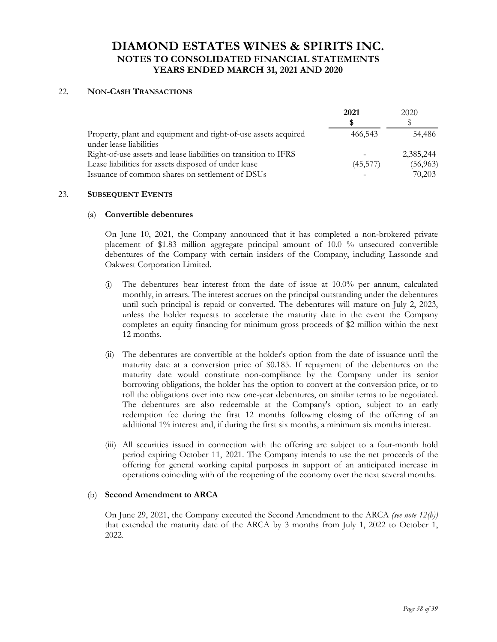### 22. **NON-CASH TRANSACTIONS**

|                                                                 | 2021      | 2020      |  |
|-----------------------------------------------------------------|-----------|-----------|--|
|                                                                 | S         |           |  |
| Property, plant and equipment and right-of-use assets acquired  | 466,543   | 54,486    |  |
| under lease liabilities                                         |           |           |  |
| Right-of-use assets and lease liabilities on transition to IFRS |           | 2,385,244 |  |
| Lease liabilities for assets disposed of under lease            | (45, 577) | (56, 963) |  |
| Issuance of common shares on settlement of DSUs                 |           | 70,203    |  |

### 23. **SUBSEQUENT EVENTS**

### (a) **Convertible debentures**

On June 10, 2021, the Company announced that it has completed a non-brokered private placement of \$1.83 million aggregate principal amount of 10.0 % unsecured convertible debentures of the Company with certain insiders of the Company, including Lassonde and Oakwest Corporation Limited.

- The debentures bear interest from the date of issue at  $10.0\%$  per annum, calculated monthly, in arrears. The interest accrues on the principal outstanding under the debentures until such principal is repaid or converted. The debentures will mature on July 2, 2023, unless the holder requests to accelerate the maturity date in the event the Company completes an equity financing for minimum gross proceeds of \$2 million within the next 12 months.
- (ii) The debentures are convertible at the holder's option from the date of issuance until the maturity date at a conversion price of \$0.185. If repayment of the debentures on the maturity date would constitute non-compliance by the Company under its senior borrowing obligations, the holder has the option to convert at the conversion price, or to roll the obligations over into new one-year debentures, on similar terms to be negotiated. The debentures are also redeemable at the Company's option, subject to an early redemption fee during the first 12 months following closing of the offering of an additional 1% interest and, if during the first six months, a minimum six months interest.
- (iii) All securities issued in connection with the offering are subject to a four-month hold period expiring October 11, 2021. The Company intends to use the net proceeds of the offering for general working capital purposes in support of an anticipated increase in operations coinciding with of the reopening of the economy over the next several months.

### (b) **Second Amendment to ARCA**

On June 29, 2021, the Company executed the Second Amendment to the ARCA *(see note 12(b))* that extended the maturity date of the ARCA by 3 months from July 1, 2022 to October 1, 2022.